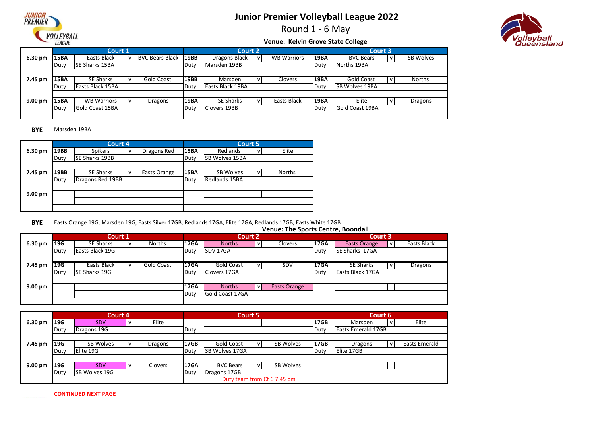

Round 1 - 6 May

# /olleyball<br>Queensland

#### **Venue: Kelvin Grove State College**

|           |             | Court 1                 |                        |             | Court 2          |     |                    |             | Court 3               |              |               |
|-----------|-------------|-------------------------|------------------------|-------------|------------------|-----|--------------------|-------------|-----------------------|--------------|---------------|
| 6.30 pm   | 15BA        | Easts Black             | <b>BVC Bears Black</b> | <b>19BB</b> | Dragons Black    | l v | <b>WB Warriors</b> | <b>19BA</b> | <b>BVC Bears</b>      | $\mathsf{V}$ | SB Wolves     |
|           | Duty        | <b>SE Sharks 15BA</b>   |                        | Duty        | Marsden 19BB     |     |                    | Duty        | Norths 19BA           |              |               |
|           |             |                         |                        |             |                  |     |                    |             |                       |              |               |
| 7.45 pm   | <b>15BA</b> | <b>SE Sharks</b>        | <b>Gold Coast</b>      | <b>19BB</b> | Marsden          | v   | Clovers            | 19BA        | Gold Coast            | $\mathsf{v}$ | <b>Norths</b> |
|           | Duty        | <b>Easts Black 15BA</b> |                        | Duty        | Easts Black 19BA |     |                    | Duty        | <b>SB Wolves 19BA</b> |              |               |
|           |             |                         |                        |             |                  |     |                    |             |                       |              |               |
| $9.00$ pm | 15BA        | <b>WB Warriors</b>      | Dragons                | 19BA        | <b>SE Sharks</b> |     | Easts Black        | <b>19BA</b> | Elite                 | v            | Dragons       |
|           | Duty        | <b>Gold Coast 15BA</b>  |                        | Duty        | Clovers 19BB     |     |                    | Duty        | Gold Coast 19BA       |              |               |
|           |             |                         |                        |             |                  |     |                    |             |                       |              |               |

**BYE** Marsden 19BA

|         |      | Court 4                |              |              |             | <b>Court 5</b>        |   |        |
|---------|------|------------------------|--------------|--------------|-------------|-----------------------|---|--------|
| 6.30 pm | 19BB | Spikers                | v            | Dragons Red  | <b>15BA</b> | Redlands              | v | Elite  |
|         | Duty | <b>ISE Sharks 19BB</b> |              |              | Duty        | <b>SB Wolves 15BA</b> |   |        |
|         |      |                        |              |              |             |                       |   |        |
| 7.45 pm | 19BB | <b>SE Sharks</b>       | $\mathsf{v}$ | Easts Orange | <b>15BA</b> | SB Wolves             | v | Norths |
|         | Duty | Dragons Red 19BB       |              |              | Duty        | Redlands 15BA         |   |        |
|         |      |                        |              |              |             |                       |   |        |
| 9.00 pm |      |                        |              |              |             |                       |   |        |
|         |      |                        |              |              |             |                       |   |        |
|         |      |                        |              |              |             |                       |   |        |

**BYE** Easts Orange 19G, Marsden 19G, Easts Silver 17GB, Redlands 17GA, Elite 17GA, Redlands 17GB, Easts White 17GB

#### **6.30 pm |19G** | SE Sharks |v| Norths |17GA | Norths |v| Clovers |17GA | Easts Orange |v Duty Easts Black 19G **Duty Duty SDV 17GA** Duty **7.45 pm |19G** | Easts Black |v| Gold Coast |17GA | Gold Coast |v| SDV |17GA | SE Sharks |v Easts Black |v| Gold Coast |17GA | Gold Coast |v| SDV |17GA | SE Sharks |v| Dragons Easts Black **SE Sharks 17GA Venue: The Sports Centre, Boondall Court 1 Court 2 Court 3** SE Sharks | v Norths | 17GA | Norths | v Clovers | 17GA | Easts Orange

|                   | Duty | <b>ISE Sharks 19G</b> | Duty        | Clovers 17GA           |              |              | <b>IDuty</b> | l Easts Black 17GA |  |
|-------------------|------|-----------------------|-------------|------------------------|--------------|--------------|--------------|--------------------|--|
|                   |      |                       |             |                        |              |              |              |                    |  |
| $9.00 \text{ pm}$ |      |                       | <b>17GA</b> | <b>Norths</b>          | $\mathbf{v}$ | Easts Orange |              |                    |  |
|                   |      |                       | Duty        | <b>Gold Coast 17GA</b> |              |              |              |                    |  |
|                   |      |                       |             |                        |              |              |              |                    |  |

|                   |      | Court 4              |         |             | Court 5          |              |                             |             |                           | Court 6      |                      |
|-------------------|------|----------------------|---------|-------------|------------------|--------------|-----------------------------|-------------|---------------------------|--------------|----------------------|
| 6.30 pm           | 19G  | <b>SDV</b>           | Elite   |             |                  |              |                             | <b>17GB</b> | Marsden                   |              | Elite                |
|                   | Duty | Dragons 19G          |         | Duty        |                  |              |                             | Duty        | <b>Easts Emerald 17GB</b> |              |                      |
|                   |      |                      |         |             |                  |              |                             |             |                           |              |                      |
| 7.45 pm           | 19G  | <b>SB Wolves</b>     | Dragons | <b>17GB</b> | Gold Coast       | $\mathsf{V}$ | SB Wolves                   | <b>17GB</b> | Dragons                   | $\mathsf{V}$ | <b>Easts Emerald</b> |
|                   | Duty | Elite 19G            |         | Duty        | SB Wolves 17GA   |              |                             | Duty        | Elite 17GB                |              |                      |
|                   |      |                      |         |             |                  |              |                             |             |                           |              |                      |
| $9.00 \text{ pm}$ | 19G  | <b>SDV</b>           | Clovers | <b>17GA</b> | <b>BVC Bears</b> | v            | SB Wolves                   |             |                           |              |                      |
|                   | Duty | <b>SB Wolves 19G</b> |         | Duty        | Dragons 17GB     |              |                             |             |                           |              |                      |
|                   |      |                      |         |             |                  |              | Duty team from Ct 6 7.45 pm |             |                           |              |                      |

**CONTINUED NEXT PAGE**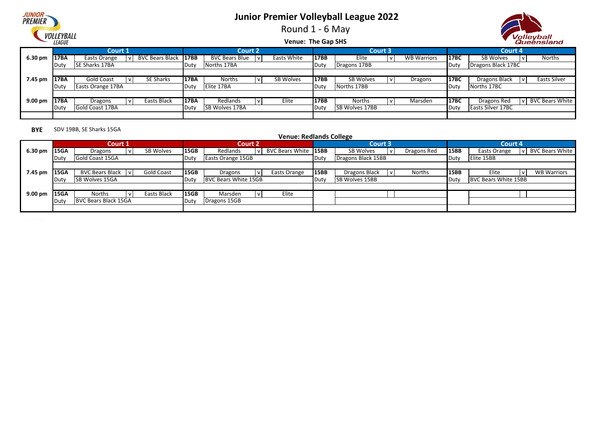

Round 1 - 6 May



#### **Venue: The Gap SHS**

|                   |      | <b>Court 1</b>    |                      |              | <b>Court 2</b>        |              |             |      |                       | <b>Court 3</b> |                    |               | Court 4                  |              |                        |
|-------------------|------|-------------------|----------------------|--------------|-----------------------|--------------|-------------|------|-----------------------|----------------|--------------------|---------------|--------------------------|--------------|------------------------|
| $6.30 \text{ pm}$ | 17BA | Easts Orange      | BVC Bears Black 17BB |              | <b>BVC Bears Blue</b> | i V          | Easts White | 17BB | Elite                 |                | <b>WB Warriors</b> | 17BC          | SB Wolves                |              | Norths                 |
|                   | Duty | SE Sharks 17BA    |                      | <b>IDuty</b> | Norths 17BA           |              |             | Duty | Dragons 17BB          |                |                    | Duty          | Dragons Black 17BC       |              |                        |
|                   |      |                   |                      |              |                       |              |             |      |                       |                |                    |               |                          |              |                        |
| 7.45 pm           | 17BA | Gold Coast        | SE Sharks            | 17BA         | Norths                | $\mathbf{v}$ | SB Wolves   | 17BB | SB Wolves             |                | Dragons            | <b>17BC</b>   | Dragons Black            |              | Easts Silver           |
|                   | Duty | Easts Orange 17BA |                      | Duty         | Elite 17BA            |              |             | Duty | Norths 17BB           |                |                    | Duty          | Norths 17BC              |              |                        |
|                   |      |                   |                      |              |                       |              |             |      |                       |                |                    |               |                          |              |                        |
| $9.00 \text{ pm}$ | 17BA | Dragons           | Easts Black          | <b>17BA</b>  | Redlands              |              | Elite       | 17BB | Norths                |                | Marsden            | 17BC          | Dragons Red              | $\mathsf{v}$ | <b>BVC Bears White</b> |
|                   | Dut\ | Gold Coast 17BA   |                      | <b>IDuty</b> | <b>SB Wolves 17BA</b> |              |             | Duty | <b>SB Wolves 17BB</b> |                |                    | <b>I</b> Duty | <b>Easts Silver 17BC</b> |              |                        |
|                   |      |                   |                      |              |                       |              |             |      |                       |                |                    |               |                          |              |                        |

#### **BYE** SDV 19BB, SE Sharks 15GA

#### **6.30 pm 15GA bragons**  $|v|$  SB Wolves **15GB** Redlands  $|v|$  BVC Bears White **15BB** SB Wolves  $|v|$  Dragons Red 15BB Easts Orange  $|v|$ Duty | Gold Coast 15GA **Consults Consults Consults Consults Consults Consults Consults Consults Consults Consults Consults Consults Consults Consults Consults Consults Consults Consults Consults Consults Consults Consults** 7.45 pm |15GA | BVC Bears Black |v| Gold Coast |15GB | Dragons |v| Easts Orange |15BB | Dragons Black |v| Norths |15BB | Elite |v Duty SB Wolves 15GA Duty Duty BVC Bears White 15GB Duty Duty SB Wolves 15BB **9.00 pm |15GA** | Norths | v | Easts Black |15GB | Marsden | v | Elite Duty BVC Bears Black 15GA Duty Dragons 15GB  $\begin{array}{|c|c|c|c|}\n\hline\n\text{Elite} & v & \text{WB Warriors}\n\hline\n\text{BVC Bears White 15BB}\n\hline\n\end{array}$ SB Wolves 15GA Note and Support the Unity |BVC Bears White 15GB SB Duty |BB Wolves 15BB State BVC Bears White 15BB BVC Bears Black  $|v|$  Gold Coast 15GB | Dragons  $|v|$  Easts Orange 15BB | Dragons Black  $|v|$  Norths **Easts Orange**  $\vert v \vert$  BVC Bears White **Dragons |v| SB Wolves |15GB | Redlands |v| BVC Bears White |15BB | SB Wolves |v| Dragons Red**<br>Gold Coast 15GA | Duty | Easts Orange 15GB | Duty | Dragons Black 15BB **Venue: Redlands College Court 1 Court 2 Court 3 Court 4**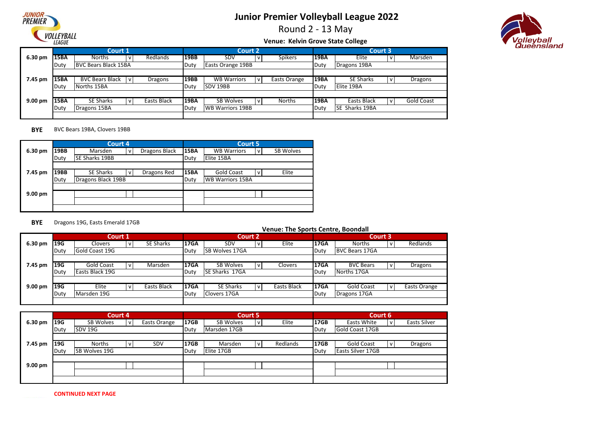

Round 2 - 13 May

# /olleyball<br>Queensland

#### **Venue: Kelvin Grove State College**

|                   |             | Court 1                     |             |             | <b>Court 2</b>          |                |             | Court 3               |     |            |
|-------------------|-------------|-----------------------------|-------------|-------------|-------------------------|----------------|-------------|-----------------------|-----|------------|
| 6.30 pm           | 15BA        | <b>Norths</b>               | Redlands    | 19BB        | SDV                     | <b>Spikers</b> | <b>19BA</b> | Elite                 |     | Marsden    |
|                   | Duty        | <b>BVC Bears Black 15BA</b> |             | Duty        | Easts Orange 19BB       |                | Duty        | Dragons 19BA          |     |            |
|                   |             |                             |             |             |                         |                |             |                       |     |            |
| 7.45 pm           | <b>15BA</b> | <b>BVC Bears Black</b>      | Dragons     | <b>19BB</b> | <b>WB Warriors</b>      | Easts Orange   | <b>19BA</b> | <b>SE Sharks</b>      | l v | Dragons    |
|                   | Duty        | Norths 15BA                 |             | Duty        | SDV 19BB                |                | Duty        | Elite 19BA            |     |            |
|                   |             |                             |             |             |                         |                |             |                       |     |            |
| $9.00 \text{ pm}$ | <b>15BA</b> | <b>SE Sharks</b>            | Easts Black | 19BA        | SB Wolves               | <b>Norths</b>  | l19BA       | Easts Black           | I۷  | Gold Coast |
|                   | Duty        | Dragons 15BA                |             | Duty        | <b>WB Warriors 19BB</b> |                | Duty        | <b>SE Sharks 19BA</b> |     |            |
|                   |             |                             |             |             |                         |                |             |                       |     |            |

#### **BYE** BVC Bears 19BA, Clovers 19BB

|         |             | Court 4                |   |               |             | Court 5                 |   |                  |
|---------|-------------|------------------------|---|---------------|-------------|-------------------------|---|------------------|
| 6.30 pm | <b>19BB</b> | Marsden                | v | Dragons Black | 15BA        | <b>WB Warriors</b>      | v | <b>SB Wolves</b> |
|         | Duty        | <b>ISE Sharks 19BB</b> |   |               | Duty        | Elite 15BA              |   |                  |
|         |             |                        |   |               |             |                         |   |                  |
| 7.45 pm | <b>19BB</b> | <b>SE Sharks</b>       | v | Dragons Red   | <b>15BA</b> | <b>Gold Coast</b>       | v | Elite            |
|         | Duty        | Dragons Black 19BB     |   |               | Duty        | <b>WB Warriors 15BA</b> |   |                  |
|         |             |                        |   |               |             |                         |   |                  |
| 9.00 pm |             |                        |   |               |             |                         |   |                  |
|         |             |                        |   |               |             |                         |   |                  |
|         |             |                        |   |               |             |                         |   |                  |

#### **BYE** Dragons 19G, Easts Emerald 17GB

|           |            | Court 1           |                  |             |                  | Court 2 |             |             | Court 3               |              |
|-----------|------------|-------------------|------------------|-------------|------------------|---------|-------------|-------------|-----------------------|--------------|
| 6.30 pm   | <b>19G</b> | Clovers           | <b>SE Sharks</b> | <b>17GA</b> | <b>SDV</b>       | v       | Elite       | <b>17GA</b> | <b>Norths</b>         | Redlands     |
|           | Duty       | Gold Coast 19G    |                  | Duty        | SB Wolves 17GA   |         |             | Duty        | <b>BVC Bears 17GA</b> |              |
|           |            |                   |                  |             |                  |         |             |             |                       |              |
| 7.45 pm   | <b>19G</b> | <b>Gold Coast</b> | Marsden          | 17GA        | <b>SB Wolves</b> | v       | Clovers     | <b>17GA</b> | <b>BVC Bears</b>      | Dragons      |
|           | Duty       | Easts Black 19G   |                  | Duty        | SE Sharks 17GA   |         |             | Duty        | Norths 17GA           |              |
|           |            |                   |                  |             |                  |         |             |             |                       |              |
| $9.00$ pm | 19G        | Elite             | Easts Black      | 17GA        | <b>SE Sharks</b> |         | Easts Black | 17GA        | <b>Gold Coast</b>     | Easts Orange |
|           | Duty       | Marsden 19G       |                  | Duty        | Clovers 17GA     |         |             | Duty        | Dragons 17GA          |              |
|           |            |                   |                  |             |                  |         |             |             |                       |              |

|                   |      | Court 4          |   |              |      | Court 5      |              |          |      | Court 6                  |              |                     |
|-------------------|------|------------------|---|--------------|------|--------------|--------------|----------|------|--------------------------|--------------|---------------------|
| 6.30 pm           | 19G  | <b>SB Wolves</b> | v | Easts Orange | 17GB | SB Wolves    | v            | Elite    | 17GB | Easts White              | $\mathsf{V}$ | <b>Easts Silver</b> |
|                   | Duty | SDV 19G          |   |              | Duty | Marsden 17GB |              |          | Duty | Gold Coast 17GB          |              |                     |
|                   |      |                  |   |              |      |              |              |          |      |                          |              |                     |
| 7.45 pm           | 19G  | <b>Norths</b>    | v | SDV          | 17GB | Marsden      | $\mathsf{v}$ | Redlands | 17GB | <b>Gold Coast</b>        | ı V          | Dragons             |
|                   | Duty | SB Wolves 19G    |   |              | Duty | Elite 17GB   |              |          | Duty | <b>Easts Silver 17GB</b> |              |                     |
|                   |      |                  |   |              |      |              |              |          |      |                          |              |                     |
| $9.00 \text{ pm}$ |      |                  |   |              |      |              |              |          |      |                          |              |                     |
|                   |      |                  |   |              |      |              |              |          |      |                          |              |                     |
|                   |      |                  |   |              |      |              |              |          |      |                          |              |                     |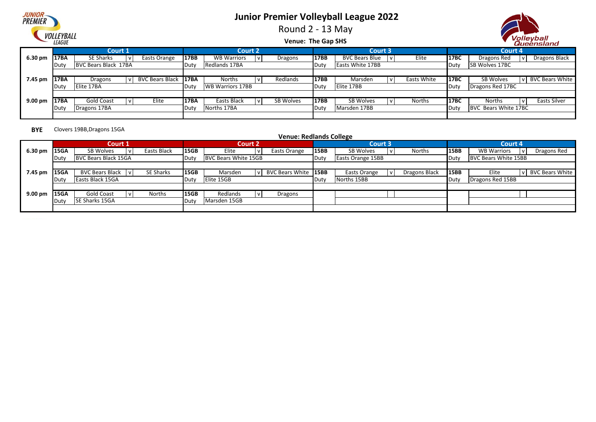

Round 2 - 13 May



**Venue: The Gap SHS**

|                   |                   |                      |                |                             |      |                         |                  |             |                         |             |             |                      | --------------         |
|-------------------|-------------------|----------------------|----------------|-----------------------------|------|-------------------------|------------------|-------------|-------------------------|-------------|-------------|----------------------|------------------------|
|                   |                   |                      | <b>Court 1</b> |                             |      | <b>Court 2</b>          |                  |             | <b>Court 3</b>          |             |             | Court 4              |                        |
| $6.30 \text{ pm}$ | 17BA              | SE Sharks            |                | Easts Orange                | 17BB | <b>WB Warriors</b>      | Dragons          | 17BB        | <b>BVC Bears Blue</b>   | Elite       | <b>17BC</b> | Dragons Red          | Dragons Black          |
|                   | Dut\              | BVC Bears Black 17BA |                |                             | Duty | Redlands 17BA           |                  | Duty        | <b>Easts White 17BB</b> |             | Duty        | SB Wolves 17BC       |                        |
|                   |                   |                      |                |                             |      |                         |                  |             |                         |             |             |                      |                        |
| 7.45 pm           | <b>17BA</b>       | Dragons              |                | <b>BVC Bears Black 17BA</b> |      | <b>Norths</b>           | Redlands         | 17BB        | Marsden                 | Easts White | <b>17BC</b> | SB Wolves            | <b>BVC Bears White</b> |
|                   | lDut <sup>,</sup> | Elite 17BA           |                |                             | Duty | <b>WB Warriors 17BB</b> |                  | Duty        | Elite 17BB              |             | Duty        | Dragons Red 17BC     |                        |
|                   |                   |                      |                |                             |      |                         |                  |             |                         |             |             |                      |                        |
| $9.00 \text{ pm}$ | <b>17BA</b>       | <b>Gold Coast</b>    |                | Elite                       | 17BA | Easts Black             | <b>SB Wolves</b> | <b>17BB</b> | <b>SB Wolves</b>        | Norths      | 17BC        | <b>Norths</b>        | Easts Silver           |
|                   | Dut\              | Dragons 17BA         |                |                             | Duty | Norths 17BA             |                  | Duty        | Marsden 17BB            |             | Duty        | BVC Bears White 17BC |                        |
|                   |                   |                      |                |                             |      |                         |                  |             |                         |             |             |                      |                        |

**BYE** Clovers 19BB,Dragons 15GA

|         |             | Court 1              |                  |             | Court 2              |                      |      | Court 3           |               |             | Court 4                   |                        |
|---------|-------------|----------------------|------------------|-------------|----------------------|----------------------|------|-------------------|---------------|-------------|---------------------------|------------------------|
| 6.30 pm | <b>15GA</b> | SB Wolves            | Easts Black      | <b>15GB</b> | Elite                | Easts Orange         | 15BB | <b>SB Wolves</b>  | Norths        | 15BB        | <b>WB Warriors</b><br>l v | Dragons Red            |
|         |             | BVC Bears Black 15GA |                  | Duty        | BVC Bears White 15GB |                      | Duty | Easts Orange 15BB |               | Duty        | BVC Bears White 15BB      |                        |
|         |             |                      |                  |             |                      |                      |      |                   |               |             |                           |                        |
| 7.45 pm | 15GA        | BVC Bears Black IvI  | <b>SE Sharks</b> | <b>15GB</b> | Marsden              | BVC Bears White 15BB |      | Easts Orange      | Dragons Black | <b>15BB</b> | Elite                     | <b>BVC Bears White</b> |
|         |             | Easts Black 15GA     |                  | Duty        | Elite 15GB           |                      | Duty | Norths 15BB       |               | Duty        | Dragons Red 15BB          |                        |
|         |             |                      |                  |             |                      |                      |      |                   |               |             |                           |                        |
| 9.00 pm | <b>15GA</b> | Gold Coast           | Norths           | <b>15GB</b> | Redlands             | Dragons              |      |                   |               |             |                           |                        |
|         | Duty        | SE Sharks 15GA       |                  | Duty        | Marsden 15GB         |                      |      |                   |               |             |                           |                        |
|         |             |                      |                  |             |                      |                      |      |                   |               |             |                           |                        |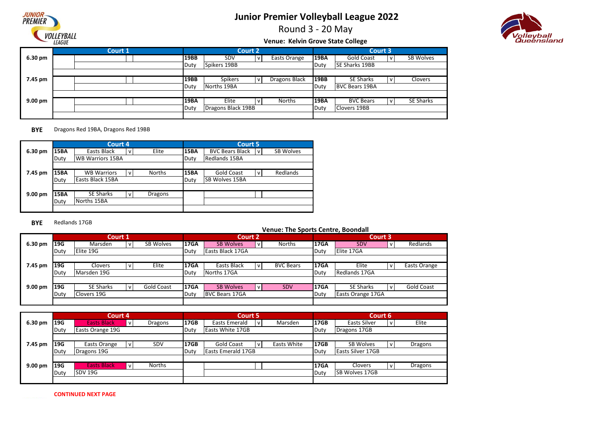

Round 3 - 20 May



#### **Venue: Kelvin Grove State College**

|                   | Court 1 |             |                    | <b>Court 2</b> |                      |             | Court 3               |                  |
|-------------------|---------|-------------|--------------------|----------------|----------------------|-------------|-----------------------|------------------|
| 6.30 pm           |         | <b>19BB</b> | <b>SDV</b>         |                | Easts Orange         | <b>19BA</b> | Gold Coast            | SB Wolves        |
|                   |         | Duty        | Spikers 19BB       |                |                      | Duty        | <b>SE Sharks 19BB</b> |                  |
|                   |         |             |                    |                |                      |             |                       |                  |
| 7.45 pm           |         | <b>19BB</b> | <b>Spikers</b>     |                | <b>Dragons Black</b> | 19BB        | <b>SE Sharks</b>      | Clovers          |
|                   |         | Duty        | Norths 19BA        |                |                      | Duty        | <b>BVC Bears 19BA</b> |                  |
|                   |         |             |                    |                |                      |             |                       |                  |
| $9.00 \text{ pm}$ |         | <b>19BA</b> | Elite              |                | <b>Norths</b>        | <b>19BA</b> | <b>BVC Bears</b>      | <b>SE Sharks</b> |
|                   |         | Duty        | Dragons Black 19BB |                |                      | Duty        | Clovers 19BB          |                  |
|                   |         |             |                    |                |                      |             |                       |                  |

#### **BYE** Dragons Red 19BA, Dragons Red 19BB

|         |      | Court 4                 |              |               |             | <b>Court 5</b>                           |
|---------|------|-------------------------|--------------|---------------|-------------|------------------------------------------|
| 6.30 pm | 15BA | Easts Black             | $\mathsf{v}$ | Elite         | <b>15BA</b> | SB Wolves<br><b>BVC Bears Black</b><br>v |
|         | Duty | <b>WB Warriors 15BA</b> |              |               | Duty        | Redlands 15BA                            |
|         |      |                         |              |               |             |                                          |
| 7.45 pm | 15BA | <b>WB Warriors</b>      | v            | <b>Norths</b> | <b>15BA</b> | Redlands<br><b>Gold Coast</b><br>v       |
|         | Duty | Easts Black 15BA        |              |               | Duty        | ISB Wolves 15BA                          |
|         |      |                         |              |               |             |                                          |
| 9.00 pm | 15BA | <b>SE Sharks</b>        | $\mathsf{v}$ | Dragons       |             |                                          |
|         | Duty | Norths 15BA             |              |               |             |                                          |
|         |      |                         |              |               |             |                                          |

#### **BYE** Redlands 17GB

|                   |            | Court 1          |  |                  |             | <b>Court 2</b>        |    |                  |             | Court 3           |                   |
|-------------------|------------|------------------|--|------------------|-------------|-----------------------|----|------------------|-------------|-------------------|-------------------|
| 6.30 pm           | <b>19G</b> | Marsden          |  | <b>SB Wolves</b> | <b>17GA</b> | <b>SB Wolves</b>      | V. | <b>Norths</b>    | <b>17GA</b> | <b>SDV</b>        | Redlands          |
|                   | Duty       | Elite 19G        |  |                  | Duty        | Easts Black 17GA      |    |                  | Duty        | Elite 17GA        |                   |
|                   |            |                  |  |                  |             |                       |    |                  |             |                   |                   |
| 7.45 pm           | 19G        | Clovers          |  | Elite            | <b>17GA</b> | Easts Black           | v  | <b>BVC Bears</b> | <b>17GA</b> | Elite             | Easts Orange      |
|                   | Duty       | Marsden 19G      |  |                  | Duty        | Norths 17GA           |    |                  | Duty        | Redlands 17GA     |                   |
|                   |            |                  |  |                  |             |                       |    |                  |             |                   |                   |
| $9.00 \text{ pm}$ | <b>19G</b> | <b>SE Sharks</b> |  | Gold Coast       | <b>17GA</b> | <b>SB Wolves</b>      | v  | <b>SDV</b>       | <b>17GA</b> | <b>SE Sharks</b>  | <b>Gold Coast</b> |
|                   | Duty       | Clovers 19G      |  |                  |             | <b>BVC Bears 17GA</b> |    |                  | Duty        | Easts Orange 17GA |                   |
|                   |            |                  |  |                  |             |                       |    |                  |             |                   |                   |

|           |      | Court 4            |         |             | Court 5                   |     |             |             | Court 6                  |         |
|-----------|------|--------------------|---------|-------------|---------------------------|-----|-------------|-------------|--------------------------|---------|
| 6.30 pm   | 119G | <b>Easts Black</b> | Dragons | <b>17GB</b> | Easts Emerald             | l V | Marsden     | <b>17GB</b> | Easts Silver             | Elite   |
|           | Duty | Easts Orange 19G   |         | Duty        | Easts White 17GB          |     |             | Duty        | Dragons 17GB             |         |
|           |      |                    |         |             |                           |     |             |             |                          |         |
| 7.45 pm   | 119G | Easts Orange       | SDV     | <b>17GB</b> | <b>Gold Coast</b>         | ı V | Easts White | 17GB        | <b>SB Wolves</b>         | Dragons |
|           | Duty | Dragons 19G        |         | Duty        | <b>Easts Emerald 17GB</b> |     |             | Duty        | <b>Easts Silver 17GB</b> |         |
|           |      |                    |         |             |                           |     |             |             |                          |         |
| $9.00$ pm | 119G | <b>Easts Black</b> | Norths  |             |                           |     |             | <b>17GA</b> | <b>Clovers</b>           | Dragons |
|           | Duty | <b>SDV 19G</b>     |         |             |                           |     |             | Duty        | <b>SB Wolves 17GB</b>    |         |
|           |      |                    |         |             |                           |     |             |             |                          |         |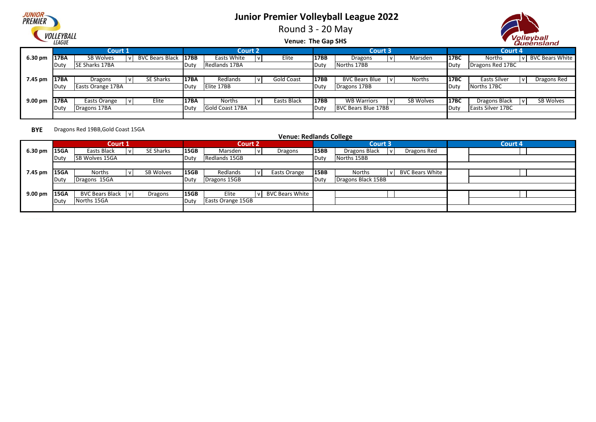

Round 3 - 20 May



**Venue: The Gap SHS**

|                   |             | Court 1               |                             |              | <b>Court 2</b>  |             |      | <b>Court 3</b>        |           |             | Court 4                            |
|-------------------|-------------|-----------------------|-----------------------------|--------------|-----------------|-------------|------|-----------------------|-----------|-------------|------------------------------------|
| 6.30 pm           | 17BA        | SB Wolves             | <b>BVC Bears Black 17BB</b> |              | Easts White     | Elite       | 17BB | Dragons               | Marsden   | 17BC        | <b>BVC Bears White</b><br>Norths   |
|                   |             | <b>SE Sharks 17BA</b> |                             | <b>IDuty</b> | Redlands 17BA   |             | Duty | Norths 17BB           |           | Duty        | Dragons Red 17BC                   |
|                   |             |                       |                             |              |                 |             |      |                       |           |             |                                    |
| 7.45 pm           | 17BA        | Dragons               | SE Sharks                   | 17BA         | Redlands        | Gold Coast  | 17BB | <b>BVC Bears Blue</b> | Norths    | <b>17BC</b> | <b>Easts Silver</b><br>Dragons Red |
|                   |             | Easts Orange 17BA     |                             | <b>IDuty</b> | Elite 17BB      |             | Duty | Dragons 17BB          |           | Duty        | Norths 17BC                        |
|                   |             |                       |                             |              |                 |             |      |                       |           |             |                                    |
| $9.00 \text{ pm}$ | <b>17BA</b> | Easts Orange          | Elite                       | 17BA         | Norths          | Easts Black | 17BB | <b>WB Warriors</b>    | SB Wolves | 17BC        | SB Wolves<br>Dragons Black         |
|                   |             | Dragons 17BA          |                             | Duty         | Gold Coast 17BA |             | Duty | BVC Bears Blue 17BB   |           | Duty        | <b>Easts Silver 17BC</b>           |
|                   |             |                       |                             |              |                 |             |      |                       |           |             |                                    |

**BYE** Dragons Red 19BB,Gold Coast 15GA

|                   |      | <b>Court 1</b>         |                  |                   | <b>Court 2</b>    |                        |      | <b>Court 3</b>                          | <b>Court 4</b> |
|-------------------|------|------------------------|------------------|-------------------|-------------------|------------------------|------|-----------------------------------------|----------------|
| 6.30 pm           | 15GA | Easts Black            | <b>SE Sharks</b> | <b>15GB</b>       | Marsden           | Dragons                | 15BB | Dragons Red<br>Dragons Black            |                |
|                   | Duty | <b>SB Wolves 15GA</b>  |                  | ∣Dut <sup>,</sup> | Redlands 15GB     |                        | Duty | Norths 15BB                             |                |
|                   |      |                        |                  |                   |                   |                        |      |                                         |                |
| 7.45 pm           | 15GA | <b>Norths</b>          | SB Wolves        | 15GB              | Redlands          | Easts Orange           | 15BB | <b>BVC Bears White</b><br><b>Norths</b> |                |
|                   | Dut\ | Dragons 15GA           |                  | Dut               | Dragons 15GB      |                        | Duty | Dragons Black 15BB                      |                |
|                   |      |                        |                  |                   |                   |                        |      |                                         |                |
| $9.00 \text{ pm}$ | 15GA | <b>BVC Bears Black</b> | Dragons          | <b>15GB</b>       | Elite             | <b>BVC Bears White</b> |      |                                         |                |
|                   | Duty | Norths 15GA            |                  | Dut <sup>,</sup>  | Easts Orange 15GB |                        |      |                                         |                |
|                   |      |                        |                  |                   |                   |                        |      |                                         |                |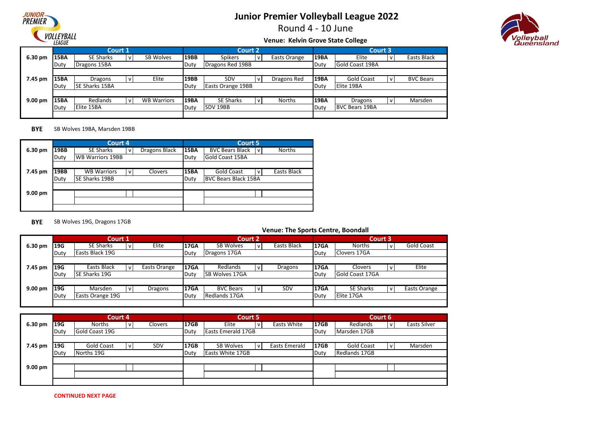

Round 4 - 10 June

# *rolleyball*<br>Queensland

#### **Venue: Kelvin Grove State College**

|                   |             | <b>Court 1</b>        |                    |             | <b>Court 2</b>    |   |               |             | Court 3                |     |                  |
|-------------------|-------------|-----------------------|--------------------|-------------|-------------------|---|---------------|-------------|------------------------|-----|------------------|
| 6.30 pm           | <b>15BA</b> | <b>SE Sharks</b>      | <b>SB Wolves</b>   | 19BB        | <b>Spikers</b>    |   | Easts Orange  | <b>19BA</b> | Elite                  | v   | Easts Black      |
|                   | Duty        | Dragons 15BA          |                    | Duty        | Dragons Red 19BB  |   |               | Duty        | <b>Gold Coast 19BA</b> |     |                  |
|                   |             |                       |                    |             |                   |   |               |             |                        |     |                  |
| 7.45 pm           | <b>15BA</b> | Dragons               | Elite              | 19BB        | SDV               |   | Dragons Red   | <b>19BA</b> | <b>Gold Coast</b>      | l v | <b>BVC Bears</b> |
|                   | Duty        | <b>SE Sharks 15BA</b> |                    | Duty        | Easts Orange 19BB |   |               | Duty        | Elite 19BA             |     |                  |
|                   |             |                       |                    |             |                   |   |               |             |                        |     |                  |
| $9.00 \text{ pm}$ | <b>15BA</b> | Redlands              | <b>WB Warriors</b> | <b>19BA</b> | <b>SE Sharks</b>  | v | <b>Norths</b> | 19BA        | Dragons                | ١v  | Marsden          |
|                   | Duty        | Elite 15BA            |                    | Duty        | SDV 19BB          |   |               | Duty        | <b>BVC Bears 19BA</b>  |     |                  |
|                   |             |                       |                    |             |                   |   |               |             |                        |     |                  |

#### **BYE** SB Wolves 19BA, Marsden 19BB

|         |      | Court 4                 |              |                |             | <b>Court 5</b>              |               |
|---------|------|-------------------------|--------------|----------------|-------------|-----------------------------|---------------|
| 6.30 pm | 19BB | <b>SE Sharks</b>        | v            | Dragons Black  | <b>15BA</b> | <b>BVC Bears Black</b><br>v | <b>Norths</b> |
|         | Duty | <b>WB Warriors 19BB</b> |              |                | Duty        | Gold Coast 15BA             |               |
|         |      |                         |              |                |             |                             |               |
| 7.45 pm | 19BB | <b>WB Warriors</b>      | $\mathsf{v}$ | <b>Clovers</b> | <b>15BA</b> | <b>Gold Coast</b><br>v      | Easts Black   |
|         | Duty | SE Sharks 19BB          |              |                | Duty        | <b>BVC Bears Black 15BA</b> |               |
|         |      |                         |              |                |             |                             |               |
| 9.00 pm |      |                         |              |                |             |                             |               |
|         |      |                         |              |                |             |                             |               |
|         |      |                         |              |                |             |                             |               |

#### **BYE** SB Wolves 19G, Dragons 17GB

|                    |      | Court 1              |  |              |             |                       | <b>Court 2</b> |             |             | Court 3          |              |
|--------------------|------|----------------------|--|--------------|-------------|-----------------------|----------------|-------------|-------------|------------------|--------------|
| 6.30 pm            | 19G  | <b>SE Sharks</b>     |  | Elite        | <b>17GA</b> | <b>SB Wolves</b>      |                | Easts Black | <b>17GA</b> | <b>Norths</b>    | Gold Coast   |
|                    | Duty | Easts Black 19G      |  |              | Duty        | Dragons 17GA          |                |             | Duty        | Clovers 17GA     |              |
|                    |      |                      |  |              |             |                       |                |             |             |                  |              |
| 7.45 pm            | 19G  | Easts Black          |  | Easts Orange | <b>17GA</b> | Redlands              |                | Dragons     | <b>17GA</b> | Clovers          | Elite        |
|                    | Duty | <b>SE Sharks 19G</b> |  |              | Duty        | <b>SB Wolves 17GA</b> |                |             | Duty        | Gold Coast 17GA  |              |
|                    |      |                      |  |              |             |                       |                |             |             |                  |              |
| 9.00 <sub>pm</sub> | 19G  | Marsden              |  | Dragons      | <b>17GA</b> | <b>BVC Bears</b>      | $\mathbf{v}$   | SDV         | <b>17GA</b> | <b>SE Sharks</b> | Easts Orange |
|                    | Duty | Easts Orange 19G     |  |              |             | Redlands 17GA         |                |             | Duty        | Elite 17GA       |              |
|                    |      |                      |  |              |             |                       |                |             |             |                  |              |

|         |      | Court 4         |         |             | Court 5                   |   |                      |      |               | Court 6      |                     |
|---------|------|-----------------|---------|-------------|---------------------------|---|----------------------|------|---------------|--------------|---------------------|
| 6.30 pm | 19G  | Norths          | Clovers | <b>17GB</b> | Elite                     | v | Easts White          | 17GB | Redlands      | $\mathsf{v}$ | <b>Easts Silver</b> |
|         | Duty | lGold Coast 19G |         | Duty        | <b>Easts Emerald 17GB</b> |   |                      | Duty | Marsden 17GB  |              |                     |
|         |      |                 |         |             |                           |   |                      |      |               |              |                     |
| 7.45 pm | 19G  | Gold Coast      | SDV     | <b>17GB</b> | SB Wolves                 | v | <b>Easts Emerald</b> | 17GB | Gold Coast    | l v          | Marsden             |
|         | Duty | Norths 19G      |         | Duty        | <b>Easts White 17GB</b>   |   |                      | Duty | Redlands 17GB |              |                     |
|         |      |                 |         |             |                           |   |                      |      |               |              |                     |
| 9.00 pm |      |                 |         |             |                           |   |                      |      |               |              |                     |
|         |      |                 |         |             |                           |   |                      |      |               |              |                     |
|         |      |                 |         |             |                           |   |                      |      |               |              |                     |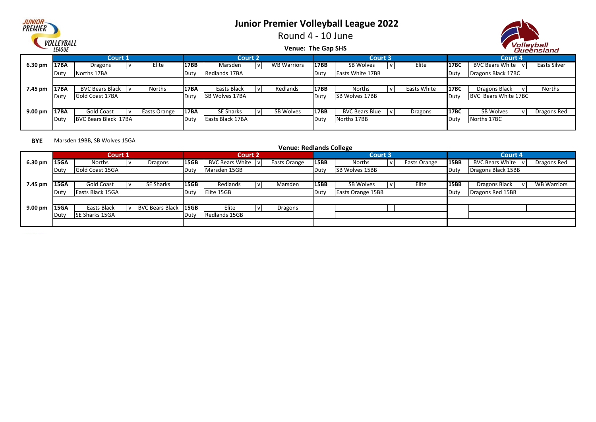

olleyball

|                   | <i>VULLETDALL</i><br><i><b>LEAGUE</b></i> |                      |  |              |             |                       |                | <b>Venue: The Gap SHS</b> |              |                         |             |             | Volleyball<br>Queensland      |              |
|-------------------|-------------------------------------------|----------------------|--|--------------|-------------|-----------------------|----------------|---------------------------|--------------|-------------------------|-------------|-------------|-------------------------------|--------------|
|                   |                                           | Court 1              |  |              |             |                       | <b>Court 2</b> |                           |              | <b>Court 3</b>          |             |             | Court 4                       |              |
| 6.30 pm           | 117BA                                     | Dragons              |  | Elite        | 17BB        | Marsden               |                | <b>WB Warriors</b>        | 17BB         | SB Wolves               | Elite       | 17BC        | BVC Bears White   v           | Easts Silver |
|                   | Norths 17BA<br>Duty                       |                      |  |              | Duty        | Redlands 17BA         |                |                           | Duty         | <b>Easts White 17BB</b> |             | Duty        | Dragons Black 17BC            |              |
|                   |                                           |                      |  |              |             |                       |                |                           |              |                         |             |             |                               |              |
| 7.45 pm           | <b>17BA</b>                               | BVC Bears Black V    |  | Norths       | <b>17BA</b> | Easts Black           |                | Redlands                  | <b>17BB</b>  | Norths                  | Easts White | <b>17BC</b> | Dragons Black<br>$\mathbf{v}$ | Norths       |
|                   | <b>IDuty</b>                              | Gold Coast 17BA      |  |              | Duty        | <b>SB Wolves 17BA</b> |                |                           | Duty         | SB Wolves 17BB          |             | Duty        | BVC Bears White 17BC          |              |
|                   |                                           |                      |  |              |             |                       |                |                           |              |                         |             |             |                               |              |
| $9.00 \text{ pm}$ | <b>17BA</b>                               | Gold Coast           |  | Easts Orange | <b>17BA</b> | SE Sharks             |                | SB Wolves                 | 17BB         | <b>BVC Bears Blue</b>   | Dragons     | 17BC        | SB Wolves<br>v                | Dragons Red  |
|                   | <b>Duty</b>                               | BVC Bears Black 17BA |  |              | Duty        | Easts Black 17BA      |                |                           | <b>IDuty</b> | Norths 17BB             |             | Duty        | Norths 17BC                   |              |
|                   |                                           |                      |  |              |             |                       |                |                           |              |                         |             |             |                               |              |

#### **BYE** Marsden 19BB, SB Wolves 15GA

|                   |                           |                |  |                        |                  |                        | <b>Venue: Redlands College</b> |       |                          |              |             |                                                     |  |
|-------------------|---------------------------|----------------|--|------------------------|------------------|------------------------|--------------------------------|-------|--------------------------|--------------|-------------|-----------------------------------------------------|--|
|                   |                           | Court 1        |  |                        |                  | <b>Court 2</b>         |                                |       | Court 3                  |              |             | Court 4                                             |  |
| 6.30 pm           | <b>15GA</b>               | Norths         |  | Dragons                | 15GB             | <b>BVC Bears White</b> | Easts Orange                   | 15BB  | Norths                   | Easts Orange | <b>15BB</b> | BVC Bears White   v<br>Dragons Red                  |  |
|                   | Gold Coast 15GA<br>Duty   |                |  |                        | Duty             | Marsden 15GB           |                                | ∣Duty | <b>SB Wolves 15BB</b>    |              | Duty        | Dragons Black 15BB                                  |  |
|                   |                           |                |  |                        |                  |                        |                                |       |                          |              |             |                                                     |  |
| 7.45 pm           | Gold Coast<br><b>15GA</b> |                |  | SE Sharks              | 15GB             | Redlands               | Marsden                        | 15BB  | SB Wolves                | Elite        | <b>15BB</b> | <b>WB Warriors</b><br>Dragons Black<br>$\mathsf{v}$ |  |
|                   | Easts Black 15GA<br>Duty  |                |  |                        | Duty             | Elite 15GB             |                                | Duty  | <b>Easts Orange 15BB</b> |              | Duty        | Dragons Red 15BB                                    |  |
|                   |                           |                |  |                        |                  |                        |                                |       |                          |              |             |                                                     |  |
| $9.00 \text{ pm}$ | 15GA                      | Easts Black    |  | <b>BVC Bears Black</b> | 15 <sub>GB</sub> | Elite                  | Dragons                        |       |                          |              |             |                                                     |  |
|                   | Duty                      | SE Sharks 15GA |  |                        | Duty             | Redlands 15GB          |                                |       |                          |              |             |                                                     |  |
|                   |                           |                |  |                        |                  |                        |                                |       |                          |              |             |                                                     |  |

*JUNIOR*<br>PREMIER **VOLLEYBALL**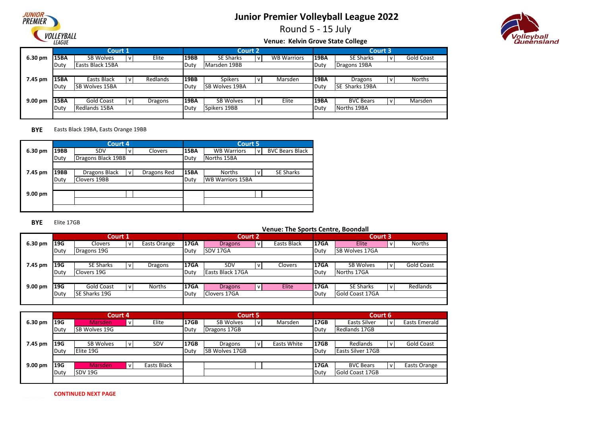

Round 5 - 15 July



#### **Venue: Kelvin Grove State College**

|                   |             | Court 1               |          |             |                  | <b>Court 2</b> |                    |             | Court 3                |     |            |
|-------------------|-------------|-----------------------|----------|-------------|------------------|----------------|--------------------|-------------|------------------------|-----|------------|
| 6.30 pm           | <b>15BA</b> | SB Wolves             | Elite    | 19BB        | <b>SE Sharks</b> |                | <b>WB Warriors</b> | <b>19BA</b> | <b>SE Sharks</b>       | l v | Gold Coast |
|                   | Duty        | Easts Black 15BA      |          | Duty        | Marsden 19BB     |                |                    | Duty        | Dragons 19BA           |     |            |
|                   |             |                       |          |             |                  |                |                    |             |                        |     |            |
| 7.45 pm           | <b>15BA</b> | Easts Black           | Redlands | <b>19BB</b> | <b>Spikers</b>   |                | Marsden            | <b>19BA</b> | <b>Dragons</b>         |     | Norths     |
|                   | Duty        | <b>SB Wolves 15BA</b> |          | Duty        | SB Wolves 19BA   |                |                    | Duty        | <b>ISE Sharks 19BA</b> |     |            |
|                   |             |                       |          |             |                  |                |                    |             |                        |     |            |
| $9.00 \text{ pm}$ | 15BA        | Gold Coast            | Dragons  | 19BA        | <b>SB Wolves</b> |                | Elite              | <b>19BA</b> | <b>BVC Bears</b>       | l V | Marsden    |
|                   | Duty        | Redlands 15BA         |          | <b>Duty</b> | Spikers 19BB     |                |                    | Duty        | Norths 19BA            |     |            |
|                   |             |                       |          |             |                  |                |                    |             |                        |     |            |

#### **BYE** Easts Black 19BA, Easts Orange 19BB

|                   |      | Court 4            |              |             |             | <b>Court 5</b>          |                |                        |
|-------------------|------|--------------------|--------------|-------------|-------------|-------------------------|----------------|------------------------|
| 6.30 pm           | 19BB | <b>SDV</b>         | v            | Clovers     | <b>15BA</b> | <b>WB Warriors</b>      | V <sub>1</sub> | <b>BVC</b> Bears Black |
|                   | Duty | Dragons Black 19BB |              |             | Duty        | Norths 15BA             |                |                        |
|                   |      |                    |              |             |             |                         |                |                        |
| 7.45 pm           | 19BB | Dragons Black      | $\mathsf{v}$ | Dragons Red | <b>15BA</b> | <b>Norths</b>           | v              | <b>SE Sharks</b>       |
|                   | Duty | Clovers 19BB       |              |             | Duty        | <b>WB Warriors 15BA</b> |                |                        |
|                   |      |                    |              |             |             |                         |                |                        |
| $9.00 \text{ pm}$ |      |                    |              |             |             |                         |                |                        |
|                   |      |                    |              |             |             |                         |                |                        |
|                   |      |                    |              |             |             |                         |                |                        |

#### **BYE** Elite 17GB

|         |             |                  | Court 1 |                |             |                  | <b>Court 2</b> |             |             | Court 3                |                   |
|---------|-------------|------------------|---------|----------------|-------------|------------------|----------------|-------------|-------------|------------------------|-------------------|
| 6.30 pm | 19G         | Clovers          |         | Easts Orange   | <b>17GA</b> | <b>Dragons</b>   |                | Easts Black | <b>17GA</b> | Elite                  | <b>Norths</b>     |
|         | <b>Duty</b> | Dragons 19G      |         |                | Duty        | <b>SDV 17GA</b>  |                |             | Duty        | <b>SB Wolves 17GA</b>  |                   |
|         |             |                  |         |                |             |                  |                |             |             |                        |                   |
| 7.45 pm | 19G         | <b>SE Sharks</b> |         | <b>Dragons</b> | <b>17GA</b> | <b>SDV</b>       |                | Clovers     | <b>17GA</b> | <b>SB Wolves</b>       | <b>Gold Coast</b> |
|         | Duty        | Clovers 19G      |         |                | Duty        | Easts Black 17GA |                |             | Duty        | Norths 17GA            |                   |
|         |             |                  |         |                |             |                  |                |             |             |                        |                   |
| 9.00 pm | 19G         | Gold Coast       |         | <b>Norths</b>  | <b>17GA</b> | <b>Dragons</b>   |                | Elite       | <b>17GA</b> | <b>SE Sharks</b>       | Redlands          |
|         | Duty        | SE Sharks 19G    |         |                | Duty        | Clovers 17GA     |                |             | Duty        | <b>Gold Coast 17GA</b> |                   |
|         |             |                  |         |                |             |                  |                |             |             |                        |                   |

|                   |            | Court 4              |              |             |             |                | Court 5      |             |             | Court 6                  |              |                      |
|-------------------|------------|----------------------|--------------|-------------|-------------|----------------|--------------|-------------|-------------|--------------------------|--------------|----------------------|
| 6.30 pm           | 19G        | <b>Marsden</b>       | $\mathsf{v}$ | Elite       | <b>17GB</b> | SB Wolves      | $\mathsf{v}$ | Marsden     | <b>17GB</b> | Easts Silver             | $\mathsf{v}$ | <b>Easts Emerald</b> |
|                   | Duty       | <b>SB Wolves 19G</b> |              |             | Duty        | Dragons 17GB   |              |             | Duty        | Redlands 17GB            |              |                      |
|                   |            |                      |              |             |             |                |              |             |             |                          |              |                      |
| 7.45 pm           | 19G        | <b>SB Wolves</b>     | v            | <b>SDV</b>  | <b>17GB</b> | <b>Dragons</b> |              | Easts White | 17GB        | Redlands                 | v            | Gold Coast           |
|                   | Duty       | Elite 19G            |              |             | Duty        | SB Wolves 17GB |              |             | Duty        | <b>Easts Silver 17GB</b> |              |                      |
|                   |            |                      |              |             |             |                |              |             |             |                          |              |                      |
| $9.00 \text{ pm}$ | <b>19G</b> | <b>Marsden</b>       | $\mathsf{v}$ | Easts Black |             |                |              |             | <b>17GA</b> | <b>BVC Bears</b>         | $\mathsf{v}$ | Easts Orange         |
|                   | Duty       | SDV 19G              |              |             |             |                |              |             | Duty        | Gold Coast 17GB          |              |                      |
|                   |            |                      |              |             |             |                |              |             |             |                          |              |                      |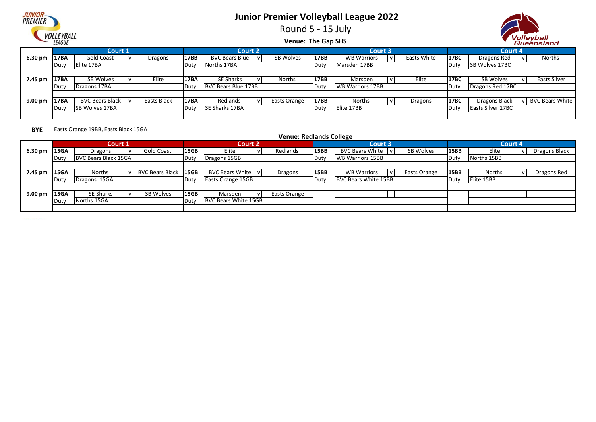## JUNIOI PREMIER VOLLEYBALL

## **Junior Premier Volleyball League 2022**

Round 5 - 15 July



**Venue: The Gap SHS**

|                   |                   |                     |             |              |                        |     |              |             |                         |             |             |                          | ------------           |
|-------------------|-------------------|---------------------|-------------|--------------|------------------------|-----|--------------|-------------|-------------------------|-------------|-------------|--------------------------|------------------------|
|                   |                   | <b>Court 1</b>      |             |              | <b>Court 2</b>         |     |              |             | <b>Court 3</b>          |             |             | Court 4                  |                        |
| 6.30 pm           | <b>17BA</b>       | Gold Coast          | Dragons     | 17BB         | <b>BVC Bears Blue</b>  | l V | SB Wolves    | <b>17BB</b> | <b>WB Warriors</b>      | Easts White | 17BC        | Dragons Red              | Norths                 |
|                   | <b>I</b> Dut      | Elite 17BA          |             | <b>IDuty</b> | Norths 17BA            |     |              | Duty        | Marsden 17BB            |             | Duty        | <b>SB Wolves 17BC</b>    |                        |
|                   |                   |                     |             |              |                        |     |              |             |                         |             |             |                          |                        |
| 7.45 pm           | 17BA              | SB Wolves           | Elite       | 17BA         | <b>SE Sharks</b>       |     | Norths       | <b>17BB</b> | Marsden                 | Elite       | <b>17BC</b> | SB Wolves                | Easts Silver           |
|                   | ∣Dut <sup>,</sup> | Dragons 17BA        |             | Duty         | BVC Bears Blue 17BB    |     |              | Duty        | <b>WB Warriors 17BB</b> |             | Duty        | Dragons Red 17BC         |                        |
|                   |                   |                     |             |              |                        |     |              |             |                         |             |             |                          |                        |
| $9.00 \text{ pm}$ | <b>17BA</b>       | BVC Bears Black   v | Easts Black | 17BA         | Redlands               |     | Easts Orange | 17BB        | <b>Norths</b>           | Dragons     | 17BC        | <b>Dragons Black</b>     | <b>BVC Bears White</b> |
|                   | <b>IDuty</b>      | ISB Wolves 17BA     |             | Duty         | <b>ISE Sharks 17BA</b> |     |              | Duty        | Elite 17BB              |             | Duty        | <b>Easts Silver 17BC</b> |                        |
|                   |                   |                     |             |              |                        |     |              |             |                         |             |             |                          |                        |

**BYE** Easts Orange 19BB, Easts Black 15GA

#### **6.30 pm |15GA** | Dragons |v| Gold Coast |15GB | Elite |v| Redlands |15BB |BVC Bears White |v| SB Wolves |15BB | Elite |v Duty |BVC Bears Black 15GA **Duty |Duty |Dragons 15GB** Duty |Duty |WB Warriors 15BB Norths 15BB 7.45 pm **15GA Norths** |v| BVC Bears Black 15GB | BVC Bears White |v| Dragons |15BB | WB Warriors |v| Easts Orange 15BB | Norths |v Duty | Dragons 15GA **Elite 15BB Duty | Easts Orange 15GB BUC Bears White 15BB** BUC Bears White 15BB **Elite 15BB 9.00 pm |15GA** | SE Sharks | v| SB Wolves |15GB | Marsden | v Duty Norths 15GA Duty BVC Bears White 15GB SE Sharks | v | SB Wolves | 15GB | Marsden | v | Easts Orange Norths |v| BVC Bears Black 15GB | BVC Bears White |v| Dragons | 15BB | WB Warriors |v| Easts Orange 15BB | Norths |v| Dragons Red<br>Duty | Duty | Elite 15BB | Duty | Easts Orange 15GB | Duty | BVC Bears White 15BB | Duty | E SB Wolves **15BB** Elite |v| Dragons Black **Venue: Redlands College Court 1 Court 2 Court 3 Court 4** Dragons Gold Coast Elite Redlands BVC Bears White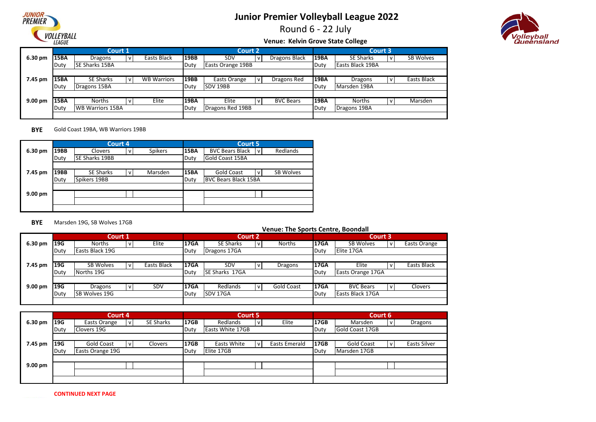

Round 6 - 22 July



#### **Venue: Kelvin Grove State College**

|                    |             | Court 1                 |                    |             | <b>Court 2</b>    |                  |             | Court 3          |     |             |
|--------------------|-------------|-------------------------|--------------------|-------------|-------------------|------------------|-------------|------------------|-----|-------------|
| 6.30 pm            | <b>15BA</b> | Dragons                 | Easts Black        | 19BB        | <b>SDV</b>        | Dragons Black    | <b>19BA</b> | <b>SE Sharks</b> | ۱v  | SB Wolves   |
|                    | Duty        | <b>ISE Sharks 15BA</b>  |                    | Duty        | Easts Orange 19BB |                  | Duty        | Easts Black 19BA |     |             |
|                    |             |                         |                    |             |                   |                  |             |                  |     |             |
| 7.45 pm            | 15BA        | <b>SE Sharks</b>        | <b>WB Warriors</b> | <b>19BB</b> | Easts Orange      | Dragons Red      | <b>19BA</b> | <b>Dragons</b>   | v   | Easts Black |
|                    | Duty        | Dragons 15BA            |                    | Duty        | SDV 19BB          |                  | Duty        | Marsden 19BA     |     |             |
|                    |             |                         |                    |             |                   |                  |             |                  |     |             |
| 9.00 <sub>pm</sub> | 15BA        | <b>Norths</b>           | Elite              | <b>19BA</b> | Elite             | <b>BVC Bears</b> | <b>19BA</b> | <b>Norths</b>    | l V | Marsden     |
|                    | Duty        | <b>WB Warriors 15BA</b> |                    | Duty        | Dragons Red 19BB  |                  | Duty        | Dragons 19BA     |     |             |
|                    |             |                         |                    |             |                   |                  |             |                  |     |             |

**BYE** Gold Coast 19BA, WB Warriors 19BB

|         |      | Court 4               |                |                |             | <b>Court 5</b>                             |
|---------|------|-----------------------|----------------|----------------|-------------|--------------------------------------------|
| 6.30 pm | 19BB | <b>Clovers</b>        | V <sub>1</sub> | <b>Spikers</b> | <b>15BA</b> | Redlands<br><b>BVC Bears Black</b><br>v    |
|         | Duty | <b>SE Sharks 19BB</b> |                |                | Duty        | <b>Gold Coast 15BA</b>                     |
|         |      |                       |                |                |             |                                            |
| 7.45 pm | 19BB | <b>SE Sharks</b>      | $\mathsf{v}$   | Marsden        | <b>15BA</b> | <b>Gold Coast</b><br><b>SB Wolves</b><br>v |
|         | Duty | Spikers 19BB          |                |                | Duty        | <b>BVC Bears Black 15BA</b>                |
|         |      |                       |                |                |             |                                            |
| 9.00 pm |      |                       |                |                |             |                                            |
|         |      |                       |                |                |             |                                            |
|         |      |                       |                |                |             |                                            |

#### **BYE** Marsden 19G, SB Wolves 17GB

|                    |      | Court 1              |   |             |             |                       | <b>Court 2</b> |                   |             | Court 3           |                    |
|--------------------|------|----------------------|---|-------------|-------------|-----------------------|----------------|-------------------|-------------|-------------------|--------------------|
| 6.30 pm            | 19G  | <b>Norths</b>        | v | Elite       | 17GA        | <b>SE Sharks</b>      |                | <b>Norths</b>     | <b>17GA</b> | <b>SB Wolves</b>  | Easts Orange       |
|                    | Duty | Easts Black 19G      |   |             | Duty        | Dragons 17GA          |                |                   | Duty        | Elite 17GA        |                    |
|                    |      |                      |   |             |             |                       |                |                   |             |                   |                    |
| 7.45 pm            | 19G  | <b>SB Wolves</b>     |   | Easts Black | <b>17GA</b> | <b>SDV</b>            |                | <b>Dragons</b>    | <b>17GA</b> | Elite             | <b>Easts Black</b> |
|                    | Duty | Norths 19G           |   |             | Duty        | <b>SE Sharks 17GA</b> |                |                   | Duty        | Easts Orange 17GA |                    |
|                    |      |                      |   |             |             |                       |                |                   |             |                   |                    |
| 9.00 <sub>pm</sub> | 19G  | Dragons              | v | SDV         | <b>17GA</b> | Redlands              |                | <b>Gold Coast</b> | <b>17GA</b> | <b>BVC Bears</b>  | <b>Clovers</b>     |
|                    | Duty | <b>SB Wolves 19G</b> |   |             |             | <b>SDV 17GA</b>       |                |                   | Duty        | Easts Black 17GA  |                    |
|                    |      |                      |   |             |             |                       |                |                   |             |                   |                    |

|         |      | Court 4          |           |             | <b>Court 5</b>          |              |                      |             | Court 6           |              |                     |
|---------|------|------------------|-----------|-------------|-------------------------|--------------|----------------------|-------------|-------------------|--------------|---------------------|
| 6.30 pm | 19G  | Easts Orange     | SE Sharks | <b>17GB</b> | Redlands                | $\mathsf{V}$ | Elite                | <b>17GB</b> | Marsden           | $\mathsf{V}$ | Dragons             |
|         | Duty | Clovers 19G      |           | Duty        | <b>Easts White 17GB</b> |              |                      | Duty        | Gold Coast 17GB   |              |                     |
|         |      |                  |           |             |                         |              |                      |             |                   |              |                     |
| 7.45 pm | 19G  | Gold Coast       | Clovers   | 17GB        | Easts White             | $\mathsf{v}$ | <b>Easts Emerald</b> | <b>17GB</b> | <b>Gold Coast</b> | $\mathsf{v}$ | <b>Easts Silver</b> |
|         | Duty | Easts Orange 19G |           | Duty        | Elite 17GB              |              |                      | Duty        | Marsden 17GB      |              |                     |
|         |      |                  |           |             |                         |              |                      |             |                   |              |                     |
| 9.00 pm |      |                  |           |             |                         |              |                      |             |                   |              |                     |
|         |      |                  |           |             |                         |              |                      |             |                   |              |                     |
|         |      |                  |           |             |                         |              |                      |             |                   |              |                     |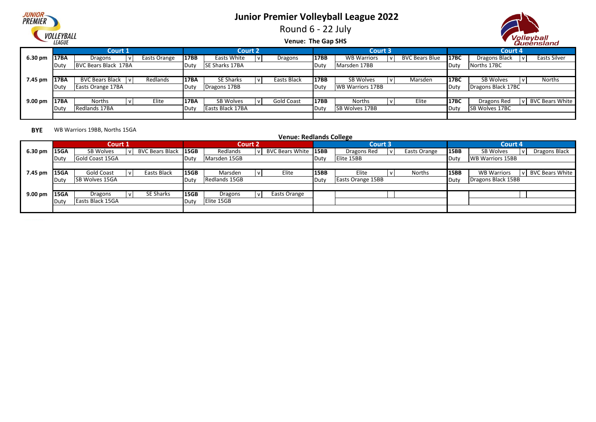## **JUNIOI PREMIER** VOLLEYBALL

# **Junior Premier Volleyball League 2022**

Round 6 - 22 July



**Venue: The Gap SHS**

|                   |             | Court 1              |              |              | <b>Court 2</b>   |                   |             | <b>Court 3</b>          |                       |                  | Court 4               |                        |
|-------------------|-------------|----------------------|--------------|--------------|------------------|-------------------|-------------|-------------------------|-----------------------|------------------|-----------------------|------------------------|
| 6.30 pm           | 17BA        | Dragons              | Easts Orange | 17BB         | Easts White      | Dragons           | 17BB        | <b>WB Warriors</b>      | <b>BVC Bears Blue</b> | 17 <sub>BC</sub> | Dragons Black         | Easts Silver           |
|                   | <b>IDut</b> | BVC Bears Black 17BA |              | Duty         | SE Sharks 17BA   |                   | Duty        | Marsden 17BB            |                       | Duty             | Norths 17BC           |                        |
|                   |             |                      |              |              |                  |                   |             |                         |                       |                  |                       |                        |
| 7.45 pm           | <b>17BA</b> | BVC Bears Black   v  | Redlands     | 17BA         | <b>SE Sharks</b> | Easts Black       | <b>17BB</b> | SB Wolves               | Marsden               | <b>17BC</b>      | SB Wolves             | Norths                 |
|                   | <b>IDut</b> | Easts Orange 17BA    |              | <b>IDuty</b> | Dragons 17BB     |                   | Duty        | <b>WB Warriors 17BB</b> |                       | Duty             | Dragons Black 17BC    |                        |
|                   |             |                      |              |              |                  |                   |             |                         |                       |                  |                       |                        |
| $9.00 \text{ pm}$ | 17BA        | <b>Norths</b>        | Elite        | 17BA         | SB Wolves        | <b>Gold Coast</b> | 17BB        | <b>Norths</b>           | Elite                 | <b>17BC</b>      | Dragons Red           | <b>BVC Bears White</b> |
|                   | ∎Dut∖       | Redlands 17BA        |              | Duty         | Easts Black 17BA |                   | Duty        | <b>ISB Wolves 17BB</b>  |                       | Duty             | <b>SB Wolves 17BC</b> |                        |
|                   |             |                      |              |              |                  |                   |             |                         |                       |                  |                       |                        |

#### **BYE** WB Warriors 19BB, Norths 15GA

|                   |        | Court 1               |                        |                  | Court 2       |                      |             | Court 3                  |              |      | <b>Court 4</b>          |              |                        |
|-------------------|--------|-----------------------|------------------------|------------------|---------------|----------------------|-------------|--------------------------|--------------|------|-------------------------|--------------|------------------------|
| 6.30 pm           | 15GA   | SB Wolves             | <b>BVC Bears Black</b> | 15 <sub>GB</sub> | Redlands      | BVC Bears White 15BB |             | Dragons Red              | Easts Orange | 15BB | SB Wolves               |              | Dragons Black          |
|                   | . Dutv | Gold Coast 15GA       |                        | . Duty           | Marsden 15GB  |                      | Duty        | Elite 15BB               |              | Duty | <b>WB Warriors 15BB</b> |              |                        |
|                   |        |                       |                        |                  |               |                      |             |                          |              |      |                         |              |                        |
| 7.45 pm           | 15GA   | Gold Coast            | Easts Black            | <b>15GB</b>      | Marsden       | Elite                | <b>15BB</b> | Elite                    | Norths       | 15BB | <b>WB Warriors</b>      | $\mathbf{v}$ | <b>BVC Bears White</b> |
|                   | .Dutv  | <b>SB Wolves 15GA</b> |                        | , Duty           | Redlands 15GB |                      | Duty        | <b>Easts Orange 15BB</b> |              | Duty | Dragons Black 15BB      |              |                        |
|                   |        |                       |                        |                  |               |                      |             |                          |              |      |                         |              |                        |
| $9.00 \text{ pm}$ | 15GA   | Dragons               | SE Sharks              | <b>15GB</b>      | Dragons       | Easts Orange         |             |                          |              |      |                         |              |                        |
|                   | Duty   | Easts Black 15GA      |                        | Duty             | Elite 15GB    |                      |             |                          |              |      |                         |              |                        |
|                   |        |                       |                        |                  |               |                      |             |                          |              |      |                         |              |                        |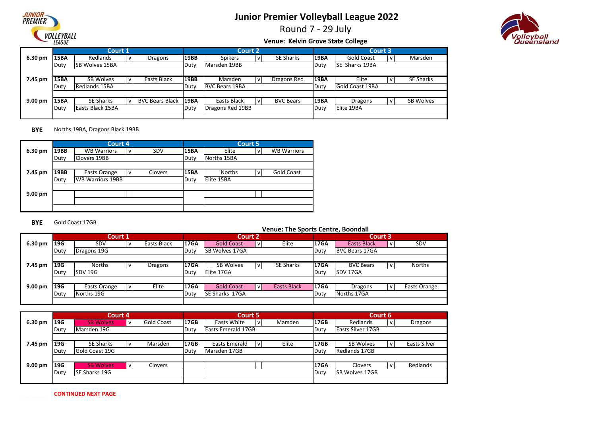

Round 7 - 29 July



#### **Venue: Kelvin Grove State College**

|         |      | Court 1               |              |                        |             | <b>Court 2</b>        |                  |             | Court 3                |                  |
|---------|------|-----------------------|--------------|------------------------|-------------|-----------------------|------------------|-------------|------------------------|------------------|
| 6.30 pm | 15BA | Redlands              | $\mathsf{V}$ | Dragons                | <b>19BB</b> | <b>Spikers</b>        | <b>SE Sharks</b> | <b>19BA</b> | Gold Coast             | Marsden          |
|         | Duty | <b>SB Wolves 15BA</b> |              |                        | Duty        | Marsden 19BB          |                  | ∎Dutγ       | <b>SE Sharks 19BA</b>  |                  |
|         |      |                       |              |                        |             |                       |                  |             |                        |                  |
| 7.45 pm | 15BA | <b>SB Wolves</b>      |              | Easts Black            | <b>19BB</b> | Marsden               | Dragons Red      | 19BA        | Elite                  | <b>SE Sharks</b> |
|         | Duty | Redlands 15BA         |              |                        | Duty        | <b>BVC Bears 19BA</b> |                  | Duty        | <b>Gold Coast 19BA</b> |                  |
|         |      |                       |              |                        |             |                       |                  |             |                        |                  |
| 9.00 pm | 15BA | <b>SE Sharks</b>      |              | <b>BVC Bears Black</b> | 19BA        | Easts Black           | <b>BVC Bears</b> | <b>19BA</b> | Dragons                | SB Wolves        |
|         | Duty | Easts Black 15BA      |              |                        | Duty        | Dragons Red 19BB      |                  | Duty        | Elite 19BA             |                  |
|         |      |                       |              |                        |             |                       |                  |             |                        |                  |

#### **BYE** Norths 19BA, Dragons Black 19BB

|                   |             | Court 4                 |              |         |             |               | <b>Court 5</b> |                    |
|-------------------|-------------|-------------------------|--------------|---------|-------------|---------------|----------------|--------------------|
| 6.30 pm           | 19BB        | <b>WB Warriors</b>      | v            | SDV     | <b>15BA</b> | Elite         | v              | <b>WB Warriors</b> |
|                   | Duty        | Clovers 19BB            |              |         | Duty        | Norths 15BA   |                |                    |
|                   |             |                         |              |         |             |               |                |                    |
| 7.45 pm           | <b>19BB</b> | Easts Orange            | $\mathsf{v}$ | Clovers | <b>15BA</b> | <b>Norths</b> | v              | Gold Coast         |
|                   | Duty        | <b>WB Warriors 19BB</b> |              |         | Duty        | Elite 15BA    |                |                    |
|                   |             |                         |              |         |             |               |                |                    |
| $9.00 \text{ pm}$ |             |                         |              |         |             |               |                |                    |
|                   |             |                         |              |         |             |               |                |                    |
|                   |             |                         |              |         |             |               |                |                    |

#### **BYE** Gold Coast 17GB

|                    |      | Court 1        |  |             |             | <b>Court 2</b>        |                    |             | Court 3               |               |
|--------------------|------|----------------|--|-------------|-------------|-----------------------|--------------------|-------------|-----------------------|---------------|
| 6.30 pm            | 19G  | <b>SDV</b>     |  | Easts Black | <b>17GA</b> | <b>Gold Coast</b>     | Elite              | <b>17GA</b> | <b>Easts Black</b>    | SDV           |
|                    | Duty | Dragons 19G    |  |             | Duty        | ISB Wolves 17GA       |                    | Duty        | <b>BVC Bears 17GA</b> |               |
|                    |      |                |  |             |             |                       |                    |             |                       |               |
| 7.45 pm            | 19G  | <b>Norths</b>  |  | Dragons     | <b>17GA</b> | SB Wolves             | <b>SE Sharks</b>   | <b>17GA</b> | <b>BVC Bears</b>      | <b>Norths</b> |
|                    | Duty | <b>SDV 19G</b> |  |             | Duty        | Elite 17GA            |                    | Duty        | SDV 17GA              |               |
|                    |      |                |  |             |             |                       |                    |             |                       |               |
| 9.00 <sub>pm</sub> | 19G  | Easts Orange   |  | Elite       | <b>17GA</b> | <b>Gold Coast</b>     | <b>Easts Black</b> | <b>17GA</b> | Dragons               | Easts Orange  |
|                    | Duty | Norths 19G     |  |             |             | <b>SE Sharks 17GA</b> |                    | Duty        | Norths 17GA           |               |
|                    |      |                |  |             |             |                       |                    |             |                       |               |

|                    |      | Court 4          |                   |      | <b>Court 5</b>       |              |         |             | Court 6                  |              |                     |
|--------------------|------|------------------|-------------------|------|----------------------|--------------|---------|-------------|--------------------------|--------------|---------------------|
| 6.30 pm            | 19G  | <b>SB Wolves</b> | <b>Gold Coast</b> | 17GB | Easts White          | i V          | Marsden | <b>17GB</b> | Redlands                 | $\mathsf{V}$ | Dragons             |
|                    | Duty | Marsden 19G      |                   | Duty | Easts Emerald 17GB   |              |         | Duty        | <b>Easts Silver 17GB</b> |              |                     |
|                    |      |                  |                   |      |                      |              |         |             |                          |              |                     |
| 7.45 pm            | 19G  | <b>SE Sharks</b> | Marsden           | 17GB | <b>Easts Emerald</b> | $\mathsf{v}$ | Elite   | <b>17GB</b> | <b>SB Wolves</b>         | $\mathsf{v}$ | <b>Easts Silver</b> |
|                    | Duty | Gold Coast 19G   |                   | Duty | Marsden 17GB         |              |         | Duty        | Redlands 17GB            |              |                     |
|                    |      |                  |                   |      |                      |              |         |             |                          |              |                     |
| 9.00 <sub>pm</sub> | 19G  | <b>SB Wolves</b> | Clovers           |      |                      |              |         | <b>17GA</b> | Clovers                  | $\mathsf{V}$ | Redlands            |
|                    | Duty | SE Sharks 19G    |                   |      |                      |              |         | Duty        | <b>SB Wolves 17GB</b>    |              |                     |
|                    |      |                  |                   |      |                      |              |         |             |                          |              |                     |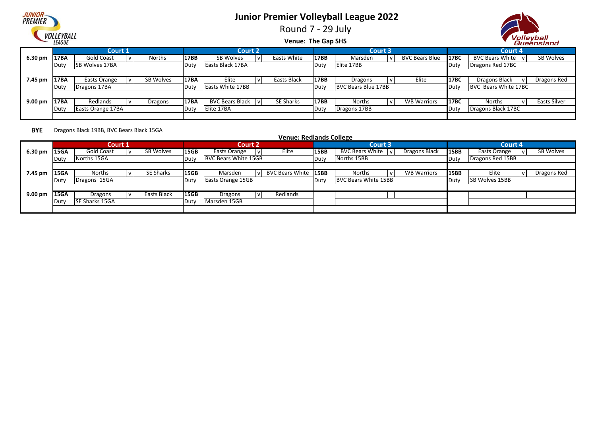

Round 7 - 29 July



**Venue: The Gap SHS**

|                   |      | Court 1           |           |             | <b>Court 2</b>          |             |      | <b>Court 3</b>             |                       |             | Court 4              |              |
|-------------------|------|-------------------|-----------|-------------|-------------------------|-------------|------|----------------------------|-----------------------|-------------|----------------------|--------------|
| $6.30 \text{ pm}$ | 17BA | Gold Coast        | Norths    | 17BB        | SB Wolves               | Easts White | 17BB | Marsden                    | <b>BVC Bears Blue</b> | 17BC        | BVC Bears White   v  | SB Wolves    |
|                   | Duty | SB Wolves 17BA    |           | <b>Duty</b> | Easts Black 17BA        |             | Duty | Elite 17BB                 |                       | Duty        | Dragons Red 17BC     |              |
|                   |      |                   |           |             |                         |             |      |                            |                       |             |                      |              |
| 7.45 pm           | 17BA | Easts Orange      | SB Wolves | <b>17BA</b> | Elite                   | Easts Black | 17BB | Dragons                    | Elite                 | <b>17BC</b> | Dragons Black        | Dragons Red  |
|                   | Duty | Dragons 17BA      |           | Duty        | <b>Easts White 17BB</b> |             | Duty | <b>BVC Bears Blue 17BB</b> |                       | Duty        | BVC Bears White 17BC |              |
|                   |      |                   |           |             |                         |             |      |                            |                       |             |                      |              |
| $9.00 \text{ pm}$ | 17BA | Redlands          | Dragons   | <b>17BA</b> | <b>BVC Bears Black</b>  | SE Sharks   | 17BB | <b>Norths</b>              | <b>WB Warriors</b>    | 17BC        | <b>Norths</b>        | Easts Silver |
|                   | Duty | Easts Orange 17BA |           | ∎Dut∖       | Elite 17BA              |             | Duty | Dragons 17BB               |                       | Duty        | Dragons Black 17BC   |              |
|                   |      |                   |           |             |                         |             |      |                            |                       |             |                      |              |

**BYE** Dragons Black 19BB, BVC Bears Black 15GA

|         |             | Court 1        |    |             |             | <b>Court 2</b>       |                      |       | Court 3                     |                    |      | Court 4               |   |             |
|---------|-------------|----------------|----|-------------|-------------|----------------------|----------------------|-------|-----------------------------|--------------------|------|-----------------------|---|-------------|
| 6.30 pm | <b>15GA</b> | Gold Coast     | ١v | SB Wolves   | <b>15GB</b> | Easts Orange         | Elite                | 15BB  | BVC Bears White   v         | Dragons Black      | 15BB | Easts Orange          |   | SB Wolves   |
|         | .Dutv       | Norths 15GA    |    |             | Duty        | BVC Bears White 15GB |                      | Duty  | Norths 15BB                 |                    | Duty | Dragons Red 15BB      |   |             |
|         |             |                |    |             |             |                      |                      |       |                             |                    |      |                       |   |             |
| 7.45 pm | <b>15GA</b> | <b>Norths</b>  |    | SE Sharks   | 15GB        | Marsden              | BVC Bears White 15BB |       | Norths                      | <b>WB Warriors</b> | 15BB | Elite                 | v | Dragons Red |
|         | Dut\        | Dragons 15GA   |    |             | .Dutv       | Easts Orange 15GB    |                      | .Duty | <b>BVC Bears White 15BB</b> |                    | Duty | <b>SB Wolves 15BB</b> |   |             |
|         |             |                |    |             |             |                      |                      |       |                             |                    |      |                       |   |             |
| 9.00 pm | <b>15GA</b> | Dragons        |    | Easts Black | <b>15GB</b> | Dragons              | Redlands             |       |                             |                    |      |                       |   |             |
|         | . Dutv      | SE Sharks 15GA |    |             | Duty        | Marsden 15GB         |                      |       |                             |                    |      |                       |   |             |
|         |             |                |    |             |             |                      |                      |       |                             |                    |      |                       |   |             |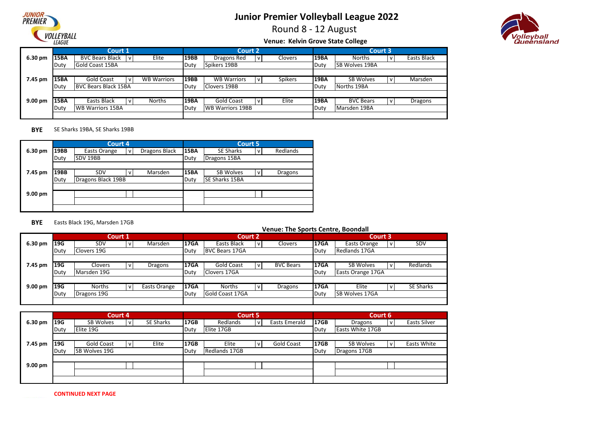

Round 8 - 12 August



#### **Venue: Kelvin Grove State College**

|           |       | Court 1                                |                    |             | <b>Court 2</b>          |              |         |              | Court 3               |              |             |
|-----------|-------|----------------------------------------|--------------------|-------------|-------------------------|--------------|---------|--------------|-----------------------|--------------|-------------|
| 6.30 pm   | 15BA  | <b>BVC Bears Black</b><br>$\mathbf{v}$ | Elite              | <b>19BB</b> | Dragons Red             | l v          | Clovers | <b>19BA</b>  | <b>Norths</b>         | $\mathsf{v}$ | Easts Black |
|           | Duty  | <b>Gold Coast 15BA</b>                 |                    | Duty        | Spikers 19BB            |              |         | <b>IDuty</b> | <b>SB Wolves 19BA</b> |              |             |
|           |       |                                        |                    |             |                         |              |         |              |                       |              |             |
| 7.45 pm   | 15BA  | Gold Coast                             | <b>WB Warriors</b> | <b>19BB</b> | <b>WB Warriors</b>      | $\mathsf{v}$ | Spikers | 19BA         | <b>SB Wolves</b>      | $\mathsf{V}$ | Marsden     |
|           | Duty  | <b>BVC Bears Black 15BA</b>            |                    | Duty        | Clovers 19BB            |              |         | Duty         | Norths 19BA           |              |             |
|           |       |                                        |                    |             |                         |              |         |              |                       |              |             |
| $9.00$ pm | 15BA  | Easts Black                            | <b>Norths</b>      | <b>19BA</b> | Gold Coast              | i v          | Elite   | <b>19BA</b>  | <b>BVC Bears</b>      | $\mathsf{V}$ | Dragons     |
|           | .Duty | <b>WB Warriors 15BA</b>                |                    | Duty        | <b>WB Warriors 19BB</b> |              |         | Duty         | Marsden 19BA          |              |             |
|           |       |                                        |                    |             |                         |              |         |              |                       |              |             |

#### **BYE** SE Sharks 19BA, SE Sharks 19BB

|         |      | Court 4            |                |               |             | <b>Court 5</b>        |              |                |
|---------|------|--------------------|----------------|---------------|-------------|-----------------------|--------------|----------------|
| 6.30 pm | 19BB | Easts Orange       | V <sub>1</sub> | Dragons Black | 15BA        | <b>SE Sharks</b>      | v            | Redlands       |
|         | Duty | SDV 19BB           |                |               | Duty        | Dragons 15BA          |              |                |
|         |      |                    |                |               |             |                       |              |                |
| 7.45 pm | 19BB | SDV                | V <sub>1</sub> | Marsden       | <b>15BA</b> | <b>SB Wolves</b>      | $\mathsf{v}$ | <b>Dragons</b> |
|         | Duty | Dragons Black 19BB |                |               | Duty        | <b>SE Sharks 15BA</b> |              |                |
|         |      |                    |                |               |             |                       |              |                |
| 9.00 pm |      |                    |                |               |             |                       |              |                |
|         |      |                    |                |               |             |                       |              |                |
|         |      |                    |                |               |             |                       |              |                |

#### **BYE** Easts Black 19G, Marsden 17GB

|           |            |             | Court 1 |                |              | <b>Court 2</b>        |   |                  |                   | Court 3          |           |
|-----------|------------|-------------|---------|----------------|--------------|-----------------------|---|------------------|-------------------|------------------|-----------|
| 6.30 pm   | <b>19G</b> | SDV         |         | Marsden        | 17GA         | Easts Black           | v | Clovers          | <b>17GA</b>       | Easts Orange     | SDV       |
|           | Duty       | Clovers 19G |         |                | Duty         | <b>BVC Bears 17GA</b> |   |                  | Duty              | Redlands 17GA    |           |
|           |            |             |         |                |              |                       |   |                  |                   |                  |           |
| 7.45 pm   | <b>19G</b> | Clovers     |         | <b>Dragons</b> | 17GA         | <b>Gold Coast</b>     | v | <b>BVC Bears</b> | 17GA              | <b>SB Wolves</b> | Redlands  |
|           | Duty       | Marsden 19G |         | Duty           | Clovers 17GA |                       |   | Duty             | Easts Orange 17GA |                  |           |
|           |            |             |         |                |              |                       |   |                  |                   |                  |           |
| $9.00$ pm | 19G        | Norths      |         | Easts Orange   | 17GA         | <b>Norths</b>         | v | Dragons          | <b>17GA</b>       | Elite            | SE Sharks |
|           | Duty       | Dragons 19G |         |                |              | Gold Coast 17GA       |   |                  | Duty              | SB Wolves 17GA   |           |
|           |            |             |         |                |              |                       |   |                  |                   |                  |           |

|                   |            | Court 4              |                  |      |                      | Court 5 |                      |             | Court 6                 |                    |
|-------------------|------------|----------------------|------------------|------|----------------------|---------|----------------------|-------------|-------------------------|--------------------|
| 6.30 pm           | <b>19G</b> | SB Wolves            | <b>SE Sharks</b> | 17GB | Redlands             |         | <b>Easts Emerald</b> | <b>17GB</b> | Dragons                 | Easts Silver       |
|                   | Duty       | Elite 19G            |                  | Duty | Elite 17GB           |         |                      | Duty        | <b>Easts White 17GB</b> |                    |
|                   |            |                      |                  |      |                      |         |                      |             |                         |                    |
| 7.45 pm           | <b>19G</b> | Gold Coast           | Elite            | 17GB | Elite                |         | <b>Gold Coast</b>    | <b>17GB</b> | <b>SB Wolves</b>        | <b>Easts White</b> |
|                   | Duty       | <b>SB Wolves 19G</b> |                  | Duty | <b>Redlands 17GB</b> |         |                      | Duty        | Dragons 17GB            |                    |
|                   |            |                      |                  |      |                      |         |                      |             |                         |                    |
| $9.00 \text{ pm}$ |            |                      |                  |      |                      |         |                      |             |                         |                    |
|                   |            |                      |                  |      |                      |         |                      |             |                         |                    |
|                   |            |                      |                  |      |                      |         |                      |             |                         |                    |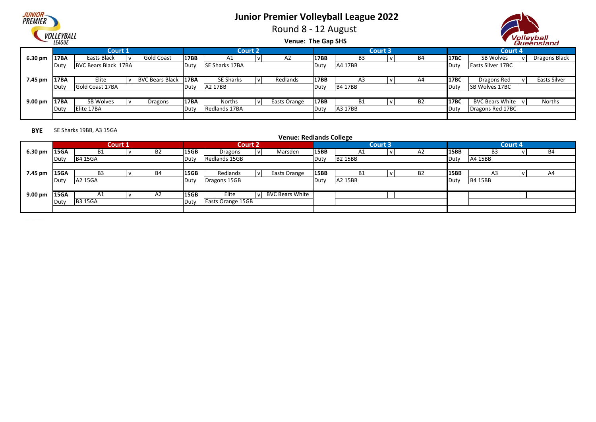

Round 8 - 12 August



**Venue: The Gap SHS**

|         |             | <b>Court 1</b>       |                      |              | <b>Court 2</b>   |              |      |                | <b>Court 3</b> |           |             | Court 4                  |               |
|---------|-------------|----------------------|----------------------|--------------|------------------|--------------|------|----------------|----------------|-----------|-------------|--------------------------|---------------|
| 6.30 pm | <b>17BA</b> | Easts Black          | Gold Coast           | <b>17BB</b>  | A1               | A2           | 17BB | B3             |                | <b>B4</b> | <b>17BC</b> | SB Wolves                | Dragons Black |
|         | Dut\        | BVC Bears Black 17BA |                      | <b>IDuty</b> | SE Sharks 17BA   |              | Duty | A4 17BB        |                |           | Duty        | <b>Easts Silver 17BC</b> |               |
|         |             |                      |                      |              |                  |              |      |                |                |           |             |                          |               |
| 7.45 pm | 17BA        | Elite                | BVC Bears Black 17BA |              | <b>SE Sharks</b> | Redlands     | 17BB | A3             |                | A4        | 17BC        | Dragons Red              | Easts Silver  |
|         | l Dut\      | Gold Coast 17BA      |                      | Duty         | A2 17BB          |              | Duty | <b>B4 17BB</b> |                |           | Duty        | <b>SB Wolves 17BC</b>    |               |
|         |             |                      |                      |              |                  |              |      |                |                |           |             |                          |               |
| 9.00 pm | <b>17BA</b> | SB Wolves            | Dragons              | 17BA         | Norths           | Easts Orange | 17BB | <b>B1</b>      |                | <b>B2</b> | 17BC        | <b>BVC Bears White</b>   | Norths        |
|         | Duty        | Elite 17BA           |                      | Duty         | Redlands 17BA    |              | Duty | A3 17BB        |                |           | Duty        | Dragons Red 17BC         |               |
|         |             |                      |                      |              |                  |              |      |                |                |           |             |                          |               |

**BYE** SE Sharks 19BB, A3 15GA

|         |      |                |         |           |             |                   |                | <b>Venue: Redlands College</b> |      |                |         |           |      |                |         |           |
|---------|------|----------------|---------|-----------|-------------|-------------------|----------------|--------------------------------|------|----------------|---------|-----------|------|----------------|---------|-----------|
|         |      |                | Court 1 |           |             |                   | <b>Court 2</b> |                                |      |                | Court 3 |           |      |                | Court 4 |           |
| 6.30 pm | 15GA | <b>B1</b>      |         | <b>B2</b> | 15GB        | Dragons           |                | Marsden                        | 15BB | A1             |         | A2        | 15BB | B3             |         | <b>B4</b> |
|         | Duty | <b>B4 15GA</b> |         |           | Duty        | Redlands 15GB     |                |                                | Duty | <b>B2 15BB</b> |         |           | Duty | A4 15BB        |         |           |
|         |      |                |         |           |             |                   |                |                                |      |                |         |           |      |                |         |           |
| 7.45 pm | 15GA | B <sub>3</sub> |         | B4        | <b>15GB</b> | Redlands          |                | Easts Orange                   | 15BB | - B1           |         | <b>B2</b> | 15BB | A3             |         | A4        |
|         | Duty | A2 15GA        |         |           | Duty        | Dragons 15GB      |                |                                | Duty | A2 15BB        |         |           | Duty | <b>B4 15BB</b> |         |           |
|         |      |                |         |           |             |                   |                |                                |      |                |         |           |      |                |         |           |
| 9.00 pm | 15GA | A1             |         | A2        | 15GB        | Elite             |                | <b>BVC Bears White</b>         |      |                |         |           |      |                |         |           |
|         | Duty | <b>B3 15GA</b> |         |           | Duty        | Easts Orange 15GB |                |                                |      |                |         |           |      |                |         |           |
|         |      |                |         |           |             |                   |                |                                |      |                |         |           |      |                |         |           |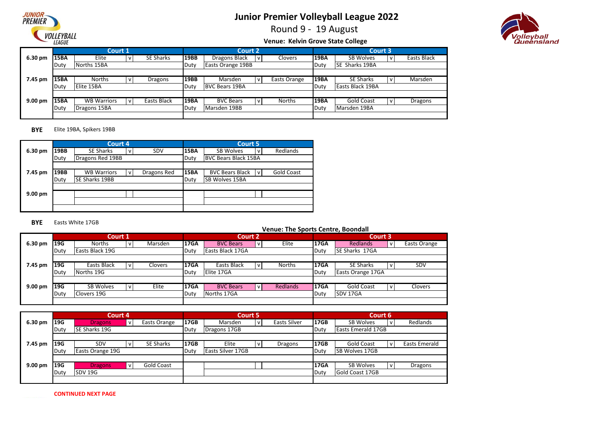

Round 9 - 19 August



#### **Venue: Kelvin Grove State College**

|           |             | Court 1            |  |                  |             | <b>Court 2</b>           |              |               |             | <b>Court 3</b>    |             |
|-----------|-------------|--------------------|--|------------------|-------------|--------------------------|--------------|---------------|-------------|-------------------|-------------|
| 6.30 pm   | <b>15BA</b> | Elite              |  | <b>SE Sharks</b> | <b>19BB</b> | Dragons Black            | $\mathsf{v}$ | Clovers       | 19BA        | SB Wolves         | Easts Black |
|           | Duty        | Norths 15BA        |  |                  | Duty        | <b>Easts Orange 19BB</b> |              |               | Duty        | SE Sharks 19BA    |             |
|           |             |                    |  |                  |             |                          |              |               |             |                   |             |
| 7.45 pm   | <b>15BA</b> | <b>Norths</b>      |  | Dragons          | <b>19BB</b> | Marsden                  | $\mathsf{v}$ | Easts Orange  | 19BA        | <b>SE Sharks</b>  | Marsden     |
|           | Duty        | Elite 15BA         |  |                  | Duty        | <b>BVC Bears 19BA</b>    |              |               | Duty        | Easts Black 19BA  |             |
|           |             |                    |  |                  |             |                          |              |               |             |                   |             |
| $9.00$ pm | <b>15BA</b> | <b>WB Warriors</b> |  | Easts Black      | <b>19BA</b> | <b>BVC Bears</b>         | $\mathsf{V}$ | <b>Norths</b> | <b>19BA</b> | <b>Gold Coast</b> | Dragons     |
|           | Duty        | Dragons 15BA       |  |                  |             | Marsden 19BB             |              |               | Duty        | Marsden 19BA      |             |
|           |             |                    |  |                  |             |                          |              |               |             |                   |             |

#### **BYE** Elite 19BA, Spikers 19BB

|         |      | Court 4               |              |             |             | <b>Court 5</b>                                   |
|---------|------|-----------------------|--------------|-------------|-------------|--------------------------------------------------|
| 6.30 pm | 19BB | SE Sharks             | $\mathsf{v}$ | SDV         | <b>15BA</b> | Redlands<br><b>SB Wolves</b><br>v                |
|         | Duty | Dragons Red 19BB      |              |             | Duty        | <b>BVC Bears Black 15BA</b>                      |
|         |      |                       |              |             |             |                                                  |
| 7.45 pm | 19BB | <b>WB Warriors</b>    | $\mathsf{v}$ | Dragons Red | <b>15BA</b> | <b>Gold Coast</b><br><b>BVC Bears Black</b><br>v |
|         | Duty | <b>SE Sharks 19BB</b> |              |             | Duty        | <b>SB Wolves 15BA</b>                            |
|         |      |                       |              |             |             |                                                  |
| 9.00 pm |      |                       |              |             |             |                                                  |
|         |      |                       |              |             |             |                                                  |
|         |      |                       |              |             |             |                                                  |

#### **BYE** Easts White 17GB

|                    |             | Court 1         |         |             | <b>Court 2</b>   |              |                 |             | Court 3                  |              |
|--------------------|-------------|-----------------|---------|-------------|------------------|--------------|-----------------|-------------|--------------------------|--------------|
| 6.30 pm            | 19G         | <b>Norths</b>   | Marsden | <b>17GA</b> | <b>BVC Bears</b> | v            | Elite           | 17GA        | <b>Redlands</b>          | Easts Orange |
|                    | Duty        | Easts Black 19G |         | Duty        | Easts Black 17GA |              |                 | Duty        | <b>SE Sharks 17GA</b>    |              |
|                    |             |                 |         |             |                  |              |                 |             |                          |              |
| 7.45 pm            | 19G         | Easts Black     | Clovers | <b>17GA</b> | Easts Black      | v            | Norths          | <b>17GA</b> | <b>SE Sharks</b>         | SDV          |
|                    | Duty        | Norths 19G      |         | Duty        | Elite 17GA       |              |                 | Duty        | <b>Easts Orange 17GA</b> |              |
|                    |             |                 |         |             |                  |              |                 |             |                          |              |
| 9.00 <sub>pm</sub> | 19G         | SB Wolves       | Elite   | <b>17GA</b> | <b>BVC Bears</b> | $\mathsf{v}$ | <b>Redlands</b> | <b>17GA</b> | <b>Gold Coast</b>        | Clovers      |
|                    | <b>Duty</b> | Clovers 19G     |         | Duty        | Norths 17GA      |              |                 | Duty        | <b>SDV 17GA</b>          |              |
|                    |             |                 |         |             |                  |              |                 |             |                          |              |

|                    |      | Court 4          |              |                   |             |                    | Court 5' |              |             | Court 6                   |              |                      |
|--------------------|------|------------------|--------------|-------------------|-------------|--------------------|----------|--------------|-------------|---------------------------|--------------|----------------------|
| 6.30 pm            | 19G  | <b>Dragons</b>   | $\mathsf{v}$ | Easts Orange      | <b>17GB</b> | Marsden            | v        | Easts Silver | 17GB        | <b>SB Wolves</b>          | . <b>v</b>   | Redlands             |
|                    | Duty | SE Sharks 19G    |              |                   | Duty        | Dragons 17GB       |          |              | Duty        | <b>Easts Emerald 17GB</b> |              |                      |
|                    |      |                  |              |                   |             |                    |          |              |             |                           |              |                      |
| 7.45 pm            | 19G  | SDV              | v            | <b>SE Sharks</b>  | <b>17GB</b> | Elite              |          | Dragons      | 17GB        | <b>Gold Coast</b>         | $\mathsf{v}$ | <b>Easts Emerald</b> |
|                    | Duty | Easts Orange 19G |              |                   | Duty        | lEasts Silver 17GB |          |              | Duty        | <b>SB Wolves 17GB</b>     |              |                      |
|                    |      |                  |              |                   |             |                    |          |              |             |                           |              |                      |
| 9.00 <sub>pm</sub> | 19G  | <b>Dragons</b>   | $\mathsf{v}$ | <b>Gold Coast</b> |             |                    |          |              | <b>17GA</b> | <b>SB Wolves</b>          | $\mathsf{V}$ | Dragons              |
|                    | Duty | SDV 19G          |              |                   |             |                    |          |              | Duty        | <b>Gold Coast 17GB</b>    |              |                      |
|                    |      |                  |              |                   |             |                    |          |              |             |                           |              |                      |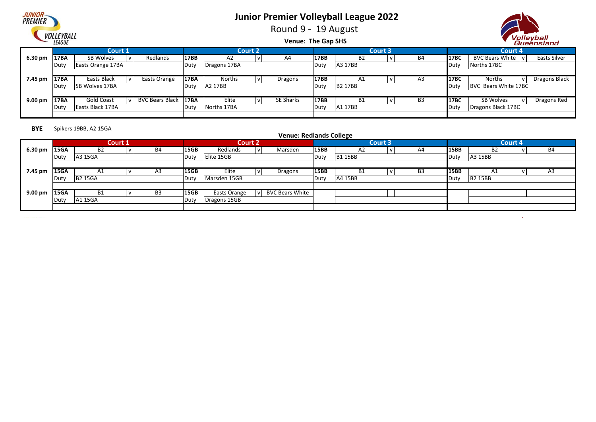

Round 9 - 19 August



 $\Delta$ 

**Venue: The Gap SHS**

|                   |              |                       |                        |             |                |                  |      |                |                |                |             | -----------                       |
|-------------------|--------------|-----------------------|------------------------|-------------|----------------|------------------|------|----------------|----------------|----------------|-------------|-----------------------------------|
|                   |              | <b>Court 1</b>        |                        |             | <b>Court 2</b> |                  |      |                | <b>Court 3</b> |                |             | Court 4                           |
| $6.30 \text{ pm}$ | 17BA         | SB Wolves             | Redlands               | <b>17BB</b> | A <sub>2</sub> | A4               | 17BB | <b>B2</b>      |                | B4             | 17BC        | BVC Bears White v<br>Easts Silver |
|                   | <b>Duty</b>  | Easts Orange 17BA     |                        | Duty        | Dragons 17BA   |                  | Duty | A3 17BB        |                |                | Duty        | Norths 17BC                       |
|                   |              |                       |                        |             |                |                  |      |                |                |                |             |                                   |
| 7.45 pm           | 17BA         | Easts Black           | Easts Orange           | 17BA        | Norths         | Dragons          | 17BB | A1             |                | A3             | <b>17BC</b> | Dragons Black<br>Norths           |
|                   | <b>IDuty</b> | <b>SB Wolves 17BA</b> |                        | Duty        | A2 17BB        |                  | Duty | <b>B2 17BB</b> |                |                | Duty        | BVC Bears White 17BC              |
|                   |              |                       |                        |             |                |                  |      |                |                |                |             |                                   |
| $9.00 \text{ pm}$ | 17BA         | Gold Coast            | <b>BVC Bears Black</b> | <b>17BA</b> | Elite          | <b>SE Sharks</b> | 17BB | <b>B1</b>      |                | B <sub>3</sub> | 17BC        | SB Wolves<br>Dragons Red          |
|                   | <b>IDuty</b> | Easts Black 17BA      |                        | Duty        | Norths 17BA    |                  | Duty | A1 17BB        |                |                | Duty        | Dragons Black 17BC                |
|                   |              |                       |                        |             |                |                  |      |                |                |                |             |                                   |

#### **BYE** Spikers 19BB, A2 15GA

| - - -        |      |                |         |    |             |                |              | <b>Venue: Redlands College</b> |             |               |                |    |             |                |                |    |
|--------------|------|----------------|---------|----|-------------|----------------|--------------|--------------------------------|-------------|---------------|----------------|----|-------------|----------------|----------------|----|
|              |      |                | Court 1 |    |             | <b>Court 2</b> |              |                                |             |               | <b>Court 3</b> |    |             |                | <b>Court 4</b> |    |
| 6.30 pm 15GA |      | <b>B2</b>      |         | B4 | <b>15GB</b> | Redlands       | v            | Marsden                        | 15BB        | A2            |                | A4 | 15BB        | B <sub>2</sub> |                | B4 |
|              | Duty | A3 15GA        |         |    | Duty        | Elite 15GB     |              |                                | Duty        | <b>B115BB</b> |                |    | Duty        | A3 15BB        |                |    |
|              |      |                |         |    |             |                |              |                                |             |               |                |    |             |                |                |    |
| 7.45 pm      | 15GA | A1             |         | A3 | <b>15GB</b> | Elite          |              | Dragons                        | <b>15BB</b> | Β1            |                | B3 | <b>15BB</b> | Al             |                | A3 |
|              | Duty | <b>B2 15GA</b> |         |    | Duty        | Marsden 15GB   |              |                                | Duty        | A4 15BB       |                |    | Duty        | <b>B2 15BB</b> |                |    |
|              |      |                |         |    |             |                |              |                                |             |               |                |    |             |                |                |    |
| 9.00 pm 15GA |      | <b>B1</b>      |         | B3 | <b>15GB</b> | Easts Orange   | $\mathsf{v}$ | <b>BVC Bears White</b>         |             |               |                |    |             |                |                |    |
|              | Duty | A1 15GA        |         |    | Duty        | Dragons 15GB   |              |                                |             |               |                |    |             |                |                |    |
|              |      |                |         |    |             |                |              |                                |             |               |                |    |             |                |                |    |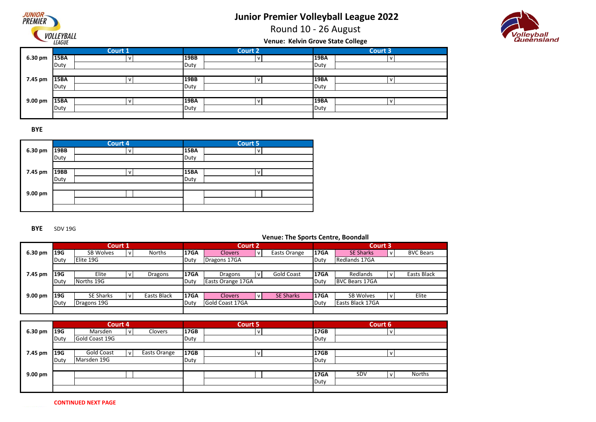

Round 10 - 26 August



**Venue: Kelvin Grove State College**

|         |             | Court 1 |             | <b>Court 2</b> |             | <b>Court 3</b> |
|---------|-------------|---------|-------------|----------------|-------------|----------------|
| 6.30 pm | <b>15BA</b> | v       | 19BB        |                | <b>19BA</b> | v              |
|         | Duty        |         | Duty        |                | Duty        |                |
|         |             |         |             |                |             |                |
| 7.45 pm | <b>15BA</b> | v       | 19BB        |                | 19BA        | N              |
|         | Duty        |         | Duty        |                | Duty        |                |
|         |             |         |             |                |             |                |
| 9.00 pm | <b>15BA</b> |         | <b>19BA</b> |                | 19BA        | N              |
|         | Duty        |         | Duty        |                | Duty        |                |
|         |             |         |             |                |             |                |

**BYE**

|         |      | Court 4 |             | Court 5 |  |
|---------|------|---------|-------------|---------|--|
| 6.30 pm | 19BB | V       | <b>15BA</b> | v       |  |
|         | Duty |         | Duty        |         |  |
|         |      |         |             |         |  |
| 7.45 pm | 19BB | v       | <b>15BA</b> | v       |  |
|         | Duty |         | Duty        |         |  |
|         |      |         |             |         |  |
| 9.00 pm |      |         |             |         |  |
|         |      |         |             |         |  |
|         |      |         |             |         |  |

**BYE** SDV 19G

|                   |      | Court 1          |             |             |                   | <b>Court 2</b> |                   |             | Court 3               |                  |
|-------------------|------|------------------|-------------|-------------|-------------------|----------------|-------------------|-------------|-----------------------|------------------|
| 6.30 pm           | 19G  | <b>SB Wolves</b> | Norths      | <b>17GA</b> | <b>Clovers</b>    | v              | Easts Orange      | <b>17GA</b> | <b>SE Sharks</b>      | <b>BVC Bears</b> |
|                   | Duty | Elite 19G        |             | Duty        | Dragons 17GA      |                |                   | Duty        | Redlands 17GA         |                  |
|                   |      |                  |             |             |                   |                |                   |             |                       |                  |
| 7.45 pm           | 19G  | Elite            | Dragons     | <b>17GA</b> | Dragons           | v              | <b>Gold Coast</b> | <b>17GA</b> | Redlands              | Easts Black      |
|                   | Duty | Norths 19G       |             | Duty        | Easts Orange 17GA |                |                   | Duty        | <b>BVC Bears 17GA</b> |                  |
|                   |      |                  |             |             |                   |                |                   |             |                       |                  |
| $9.00 \text{ pm}$ | 19G  | <b>SE Sharks</b> | Easts Black | <b>17GA</b> | <b>Clovers</b>    | v              | <b>SE Sharks</b>  | <b>17GA</b> | <b>SB Wolves</b>      | Elite            |
|                   | Duty | Dragons 19G      |             | Duty        | Gold Coast 17GA   |                |                   | Duty        | Easts Black 17GA      |                  |
|                   |      |                  |             |             |                   |                |                   |             |                       |                  |

|         |            | Court 4        |              |             | Court 5 |             | Court 6            |
|---------|------------|----------------|--------------|-------------|---------|-------------|--------------------|
| 6.30 pm | <b>19G</b> | Marsden        | Clovers      | <b>17GB</b> |         | 17GB        | ' v                |
|         | Duty       | Gold Coast 19G |              | Duty        |         | Duty        |                    |
|         |            |                |              |             |         |             |                    |
| 7.45 pm | 19G        | Gold Coast     | Easts Orange | 17GB        |         | <b>17GB</b> |                    |
|         | Duty       | Marsden 19G    |              | Duty        |         | Duty        |                    |
|         |            |                |              |             |         |             |                    |
| 9.00 pm |            |                |              |             |         | <b>17GA</b> | Norths<br>SDV<br>v |
|         |            |                |              |             |         | Duty        |                    |
|         |            |                |              |             |         |             |                    |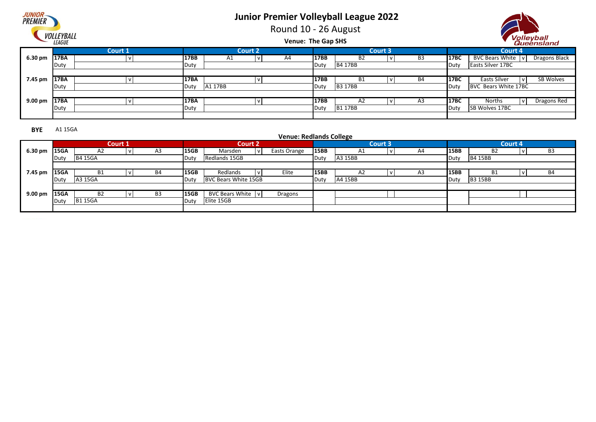Round 10 - 26 August





#### **Venue: The Gap SHS**

|                   |      |         |             |         |                |    |      |                |                |                |      |                          | -------------    |
|-------------------|------|---------|-------------|---------|----------------|----|------|----------------|----------------|----------------|------|--------------------------|------------------|
|                   |      | Court 1 |             |         | <b>Court 2</b> |    |      |                | <b>Court 3</b> |                |      | <b>Court 4</b>           |                  |
| 6.30 pm           | 17BA |         | <b>17BB</b> | A1      | V              | A4 | 17BB | B <sub>2</sub> |                | B3             | 17BC | BVC Bears White   v      | Dragons Black    |
|                   | Duty |         | Duty        |         |                |    | Duty | <b>B4 17BB</b> |                |                | Duty | <b>Easts Silver 17BC</b> |                  |
|                   |      |         |             |         |                |    |      |                |                |                |      |                          |                  |
| 7.45 pm           | 17BA |         | <b>17BA</b> |         |                |    | 17BB | <b>B1</b>      |                | <b>B4</b>      | 17BC | Easts Silver             | <b>SB Wolves</b> |
|                   | Duty |         | Duty        | A1 17BB |                |    | Duty | <b>B3 17BB</b> |                |                | Duty | BVC Bears White 17BC     |                  |
|                   |      |         |             |         |                |    |      |                |                |                |      |                          |                  |
| $9.00 \text{ pm}$ | 17BA |         | 17BA        |         |                |    | 17BB | A2             |                | A <sub>3</sub> | 17BC | Norths<br>v              | Dragons Red      |
|                   | Duty |         | Duty        |         |                |    | Duty | <b>B117BB</b>  |                |                | Duty | <b>SB Wolves 17BC</b>    |                  |
|                   |      |         |             |         |                |    |      |                |                |                |      |                          |                  |

**BYE** A1 15GA

|                   |      |                | <b>Court 1</b> |    |      | <b>Court 2</b>       |              |              |      |                | <b>Court 3</b> |    |             |                | Court 4 |                |
|-------------------|------|----------------|----------------|----|------|----------------------|--------------|--------------|------|----------------|----------------|----|-------------|----------------|---------|----------------|
| 6.30 pm           | 15GA | A2             |                | A3 | 15GB | Marsden              | $\mathbf{v}$ | Easts Orange | 15BB | A1             |                | A4 | 15BB        | B <sub>2</sub> |         | B <sub>3</sub> |
|                   | Duty | <b>B4 15GA</b> |                |    | Duty | Redlands 15GB        |              |              | Duty | A3 15BB        |                |    | Duty        | <b>B4 15BB</b> |         |                |
|                   |      |                |                |    |      |                      |              |              |      |                |                |    |             |                |         |                |
| 7.45 pm           | 15GA | B1             |                | B4 | 15GB | Redlands             | $\mathbf{v}$ | Elite        | 15BB | A <sub>2</sub> |                | A3 | <b>15BB</b> | <b>B1</b>      |         | <b>B4</b>      |
|                   | Duty | A3 15GA        |                |    | Duty | BVC Bears White 15GB |              |              | Duty | A4 15BB        |                |    | Duty        | <b>B3 15BB</b> |         |                |
|                   |      |                |                |    |      |                      |              |              |      |                |                |    |             |                |         |                |
| $9.00 \text{ pm}$ | 15GA | <b>B2</b>      |                | B3 | 15GB | BVC Bears White   v  |              | Dragons      |      |                |                |    |             |                |         |                |
|                   | Duty | <b>B115GA</b>  |                |    | Duty | Elite 15GB           |              |              |      |                |                |    |             |                |         |                |
|                   |      |                |                |    |      |                      |              |              |      |                |                |    |             |                |         |                |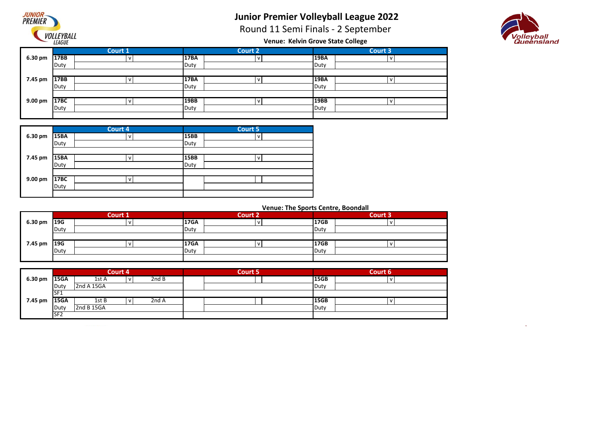

Round 11 Semi Finals - 2 September



**Venue: Kelvin Grove State College**

|         |      | Court 1 |             | Court 2      |      | <b>Court 3</b> |
|---------|------|---------|-------------|--------------|------|----------------|
| 6.30 pm | 17BB | l V     | <b>17BA</b> | $\mathbf{v}$ | 19BA |                |
|         | Duty |         | Duty        |              | Duty |                |
|         |      |         |             |              |      |                |
| 7.45 pm | 17BB |         | <b>17BA</b> |              | 19BA |                |
|         | Duty |         | Duty        |              | Duty |                |
|         |      |         |             |              |      |                |
| 9.00 pm | 17BC | v       | <b>19BB</b> |              | 19BB |                |
|         | Duty |         | Duty        |              | Duty |                |
|         |      |         |             |              |      |                |

|         |             | Court 4 |      | Court 5 |
|---------|-------------|---------|------|---------|
| 6.30 pm | <b>15BA</b> | V       | 15BB | v       |
|         | Duty        |         | Duty |         |
|         |             |         |      |         |
| 7.45 pm | <b>15BA</b> | ν       | 15BB | v       |
|         | Duty        |         | Duty |         |
|         |             |         |      |         |
| 9.00 pm | 17BC        | v       |      |         |
|         | Duty        |         |      |         |
|         |             |         |      |         |

|             |      | <b>Court 1</b> |             | <b>Court 2</b> |      | Court 3 |
|-------------|------|----------------|-------------|----------------|------|---------|
| 6.30 pm     | 19G  |                | <b>17GA</b> |                | 17GB |         |
|             | Duty |                | Duty        |                | Duty |         |
|             |      |                |             |                |      |         |
| 7.45 pm 19G |      |                | <b>17GA</b> |                | 17GB |         |
|             | Duty |                | Duty        |                | Duty |         |
|             |      |                |             |                |      |         |

|         | Court 4         |            |   | Court 5 |  | Court 6     |   |  |
|---------|-----------------|------------|---|---------|--|-------------|---|--|
| 6.30 pm | <b>15GA</b>     | 1st A      | v | 2nd B   |  | 15GB        | N |  |
|         | Duty            | 2nd A 15GA |   |         |  | Duty        |   |  |
|         | SF1             |            |   |         |  |             |   |  |
| 7.45 pm | <b>15GA</b>     | 1st B      |   | 2nd A   |  | <b>15GB</b> | N |  |
|         | Duty            | 2nd B 15GA |   |         |  | Duty        |   |  |
|         | SF <sub>2</sub> |            |   |         |  |             |   |  |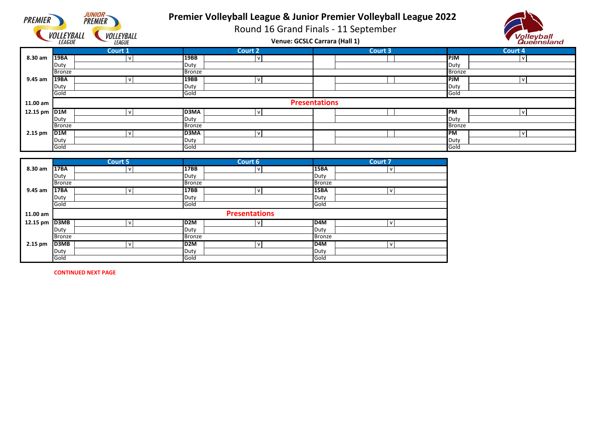

## **Premier Volleyball League & Junior Premier Volleyball League 2022**

Round 16 Grand Finals - 11 September



|              | VULLE I DALL<br><b>LEAGUE</b> | <b>VULLETDALL</b><br><b>LEAGUE</b> |               | Venue: GCSLC Carrara (Hall 1) |                      | volleyball<br>Queensland |               |         |
|--------------|-------------------------------|------------------------------------|---------------|-------------------------------|----------------------|--------------------------|---------------|---------|
|              |                               | Court 1                            |               | <b>Court 2</b>                |                      | Court 3                  |               | Court 4 |
| 8.30 am      | 19BA                          |                                    | 19BB          | $\mathbf{v}$                  |                      |                          | <b>PJM</b>    |         |
|              | Duty                          |                                    | Duty          |                               |                      |                          | Duty          |         |
|              | Bronze                        |                                    | <b>Bronze</b> |                               |                      |                          | <b>Bronze</b> |         |
| 9.45 am      | <b>19BA</b>                   |                                    | 19BB          | $\mathbf{v}$                  |                      |                          | <b>PJM</b>    | v       |
|              | Duty                          |                                    | Duty          |                               |                      |                          | Duty          |         |
|              | Gold                          |                                    | Gold          |                               |                      |                          | Gold          |         |
| 11.00 am     |                               |                                    |               |                               | <b>Presentations</b> |                          |               |         |
| 12.15 pm D1M |                               |                                    | <b>D3MA</b>   |                               |                      |                          | <b>IPM</b>    |         |
|              | Duty                          |                                    | Duty          |                               |                      |                          | Duty          |         |
|              | <b>Bronze</b>                 |                                    | <b>Bronze</b> |                               |                      |                          | <b>Bronze</b> |         |
| 2.15 pm      | D <sub>1</sub> M              |                                    | D3MA          |                               |                      |                          | <b>PM</b>     |         |
|              | Duty                          |                                    | Duty          |                               |                      |                          | Duty          |         |
|              | Gold                          |                                    | Gold          |                               |                      |                          | Gold          |         |

|           |               | <b>Court 5</b> |                 | Court 6              |               | Court 7       |  |  |
|-----------|---------------|----------------|-----------------|----------------------|---------------|---------------|--|--|
| 8.30 am   | 17BA          | $\mathsf{V}$   | 17BB            | $\mathsf{V}$         | <b>15BA</b>   | $\mathsf{V}$  |  |  |
|           | Duty          |                | Duty            |                      | Duty          |               |  |  |
|           | <b>Bronze</b> |                | <b>Bronze</b>   |                      | <b>Bronze</b> |               |  |  |
| $9.45$ am | 17BA          | $\mathsf{v}$   | 17BB            | $\mathsf{v}$         | 15BA          | $\mathsf{V}$  |  |  |
|           | Duty          |                | Duty            |                      | Duty          |               |  |  |
|           | Gold          |                | Gold            |                      | Gold          |               |  |  |
| 11.00 am  |               |                |                 | <b>Presentations</b> |               |               |  |  |
| 12.15 pm  | D3MB          | $\mathsf{V}$   | D <sub>2M</sub> | $\mathsf{V}$         | ID4M          | $\mathsf{v}$  |  |  |
|           | Duty          |                | Duty            |                      | Duty          |               |  |  |
|           | <b>Bronze</b> |                | <b>Bronze</b>   |                      |               | <b>Bronze</b> |  |  |
| $2.15$ pm | D3MB          | $\mathsf{v}$   | ID2M            | $\mathsf{V}$         | <b>ID4M</b>   | $\mathsf{V}$  |  |  |
|           | Duty          |                | Duty            |                      | Duty          |               |  |  |
|           | Gold          |                | Gold            |                      | Gold          |               |  |  |

**CONTINUED NEXT PAGE**